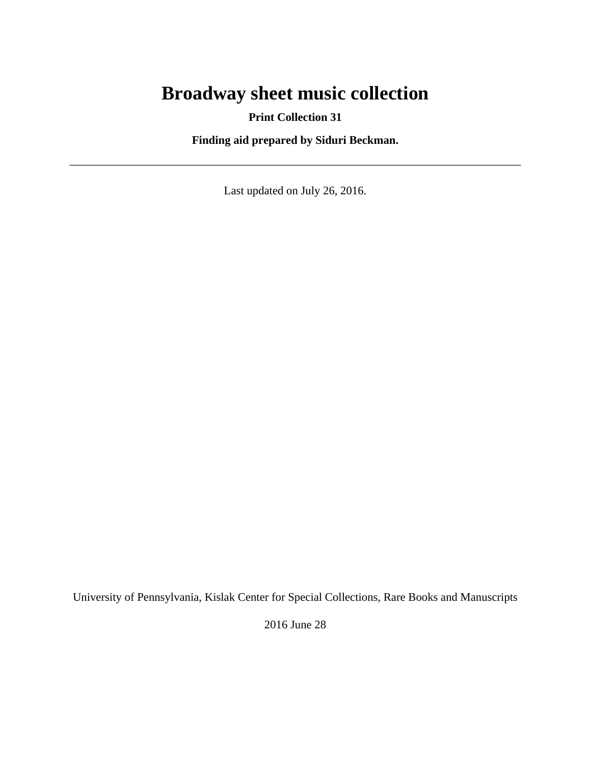# **Broadway sheet music collection**

**Print Collection 31**

**Finding aid prepared by Siduri Beckman.**

Last updated on July 26, 2016.

University of Pennsylvania, Kislak Center for Special Collections, Rare Books and Manuscripts

2016 June 28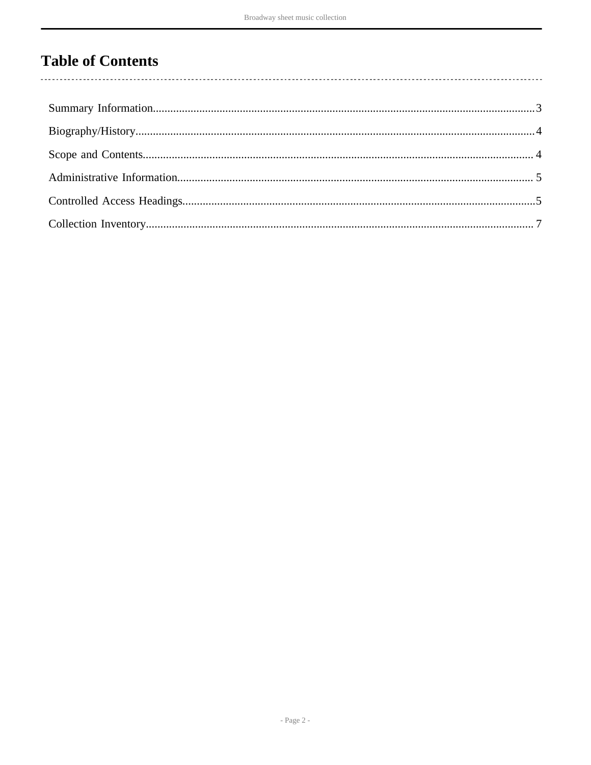# **Table of Contents**

 $\overline{\phantom{a}}$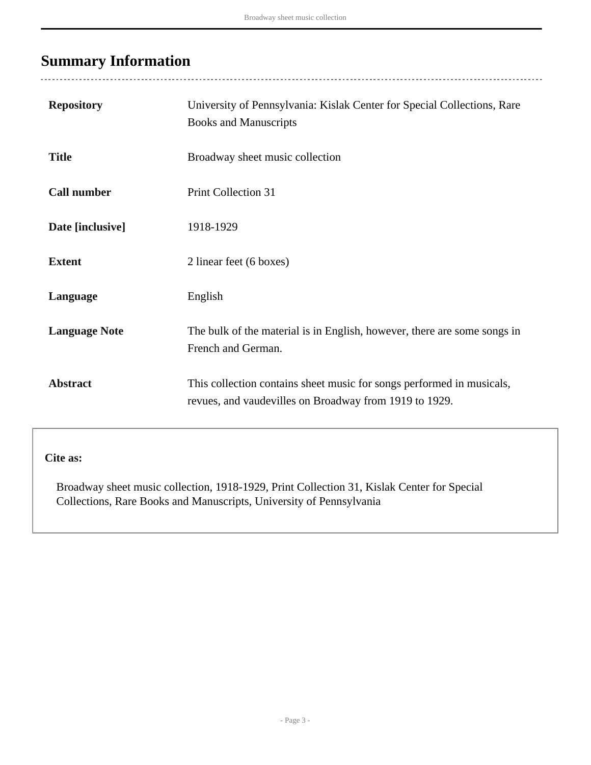## <span id="page-2-0"></span>**Summary Information**

 $\overline{a}$ 

| <b>Repository</b>    | University of Pennsylvania: Kislak Center for Special Collections, Rare<br><b>Books and Manuscripts</b>                         |
|----------------------|---------------------------------------------------------------------------------------------------------------------------------|
| <b>Title</b>         | Broadway sheet music collection                                                                                                 |
| <b>Call number</b>   | <b>Print Collection 31</b>                                                                                                      |
| Date [inclusive]     | 1918-1929                                                                                                                       |
| <b>Extent</b>        | 2 linear feet (6 boxes)                                                                                                         |
| Language             | English                                                                                                                         |
| <b>Language Note</b> | The bulk of the material is in English, however, there are some songs in<br>French and German.                                  |
| <b>Abstract</b>      | This collection contains sheet music for songs performed in musicals,<br>revues, and vaudevilles on Broadway from 1919 to 1929. |

**Cite as:**

Broadway sheet music collection, 1918-1929, Print Collection 31, Kislak Center for Special Collections, Rare Books and Manuscripts, University of Pennsylvania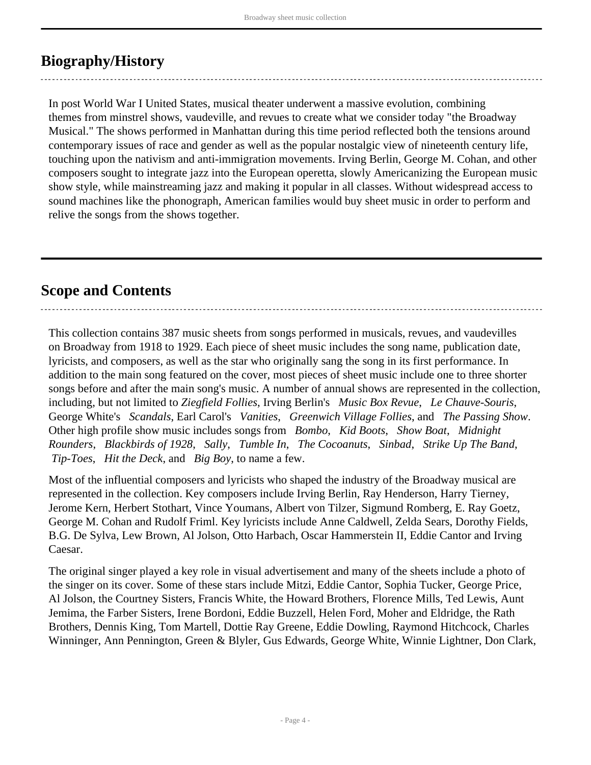## <span id="page-3-0"></span>**Biography/History**

In post World War I United States, musical theater underwent a massive evolution, combining themes from minstrel shows, vaudeville, and revues to create what we consider today "the Broadway Musical." The shows performed in Manhattan during this time period reflected both the tensions around contemporary issues of race and gender as well as the popular nostalgic view of nineteenth century life, touching upon the nativism and anti-immigration movements. Irving Berlin, George M. Cohan, and other composers sought to integrate jazz into the European operetta, slowly Americanizing the European music show style, while mainstreaming jazz and making it popular in all classes. Without widespread access to sound machines like the phonograph, American families would buy sheet music in order to perform and relive the songs from the shows together.

### <span id="page-3-1"></span>**Scope and Contents**

This collection contains 387 music sheets from songs performed in musicals, revues, and vaudevilles on Broadway from 1918 to 1929. Each piece of sheet music includes the song name, publication date, lyricists, and composers, as well as the star who originally sang the song in its first performance. In addition to the main song featured on the cover, most pieces of sheet music include one to three shorter songs before and after the main song's music. A number of annual shows are represented in the collection, including, but not limited to *Ziegfield Follies*, Irving Berlin's *Music Box Revue*, *Le Chauve-Souris*, George White's *Scandals*, Earl Carol's *Vanities*, *Greenwich Village Follies*, and *The Passing Show*. Other high profile show music includes songs from *Bombo*, *Kid Boots*, *Show Boat*, *Midnight Rounders*, *Blackbirds of 1928*, *Sally*, *Tumble In*, *The Cocoanuts*, *Sinbad*, *Strike Up The Band*,  *Tip-Toes*, *Hit the Deck*, and *Big Boy*, to name a few.

Most of the influential composers and lyricists who shaped the industry of the Broadway musical are represented in the collection. Key composers include Irving Berlin, Ray Henderson, Harry Tierney, Jerome Kern, Herbert Stothart, Vince Youmans, Albert von Tilzer, Sigmund Romberg, E. Ray Goetz, George M. Cohan and Rudolf Friml. Key lyricists include Anne Caldwell, Zelda Sears, Dorothy Fields, B.G. De Sylva, Lew Brown, Al Jolson, Otto Harbach, Oscar Hammerstein II, Eddie Cantor and Irving Caesar.

The original singer played a key role in visual advertisement and many of the sheets include a photo of the singer on its cover. Some of these stars include Mitzi, Eddie Cantor, Sophia Tucker, George Price, Al Jolson, the Courtney Sisters, Francis White, the Howard Brothers, Florence Mills, Ted Lewis, Aunt Jemima, the Farber Sisters, Irene Bordoni, Eddie Buzzell, Helen Ford, Moher and Eldridge, the Rath Brothers, Dennis King, Tom Martell, Dottie Ray Greene, Eddie Dowling, Raymond Hitchcock, Charles Winninger, Ann Pennington, Green & Blyler, Gus Edwards, George White, Winnie Lightner, Don Clark,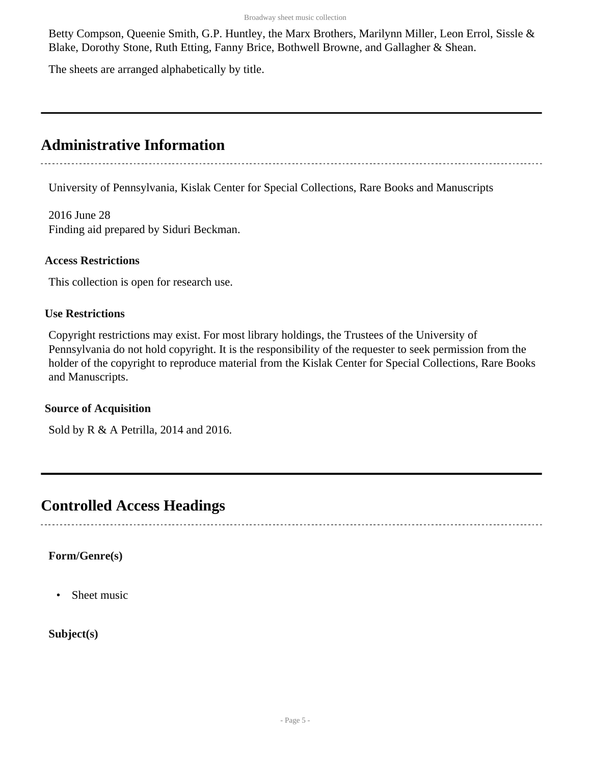Betty Compson, Queenie Smith, G.P. Huntley, the Marx Brothers, Marilynn Miller, Leon Errol, Sissle & Blake, Dorothy Stone, Ruth Etting, Fanny Brice, Bothwell Browne, and Gallagher & Shean.

The sheets are arranged alphabetically by title.

## <span id="page-4-0"></span>**Administrative Information**

University of Pennsylvania, Kislak Center for Special Collections, Rare Books and Manuscripts

2016 June 28 Finding aid prepared by Siduri Beckman.

#### **Access Restrictions**

This collection is open for research use.

#### **Use Restrictions**

Copyright restrictions may exist. For most library holdings, the Trustees of the University of Pennsylvania do not hold copyright. It is the responsibility of the requester to seek permission from the holder of the copyright to reproduce material from the Kislak Center for Special Collections, Rare Books and Manuscripts.

#### **Source of Acquisition**

Sold by R & A Petrilla, 2014 and 2016.

### <span id="page-4-1"></span>**Controlled Access Headings**

#### **Form/Genre(s)**

• Sheet music

**Subject(s)**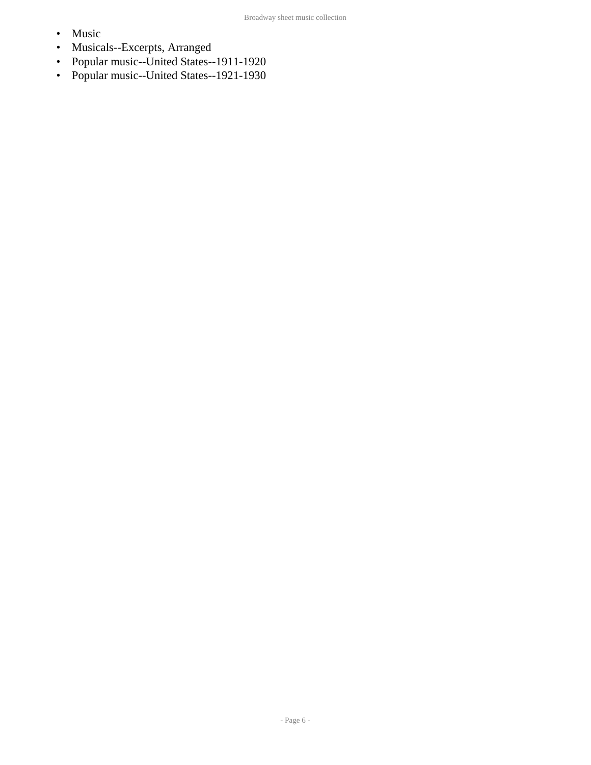- Music
- Musicals--Excerpts, Arranged
- Popular music--United States--1911-1920
- Popular music--United States--1921-1930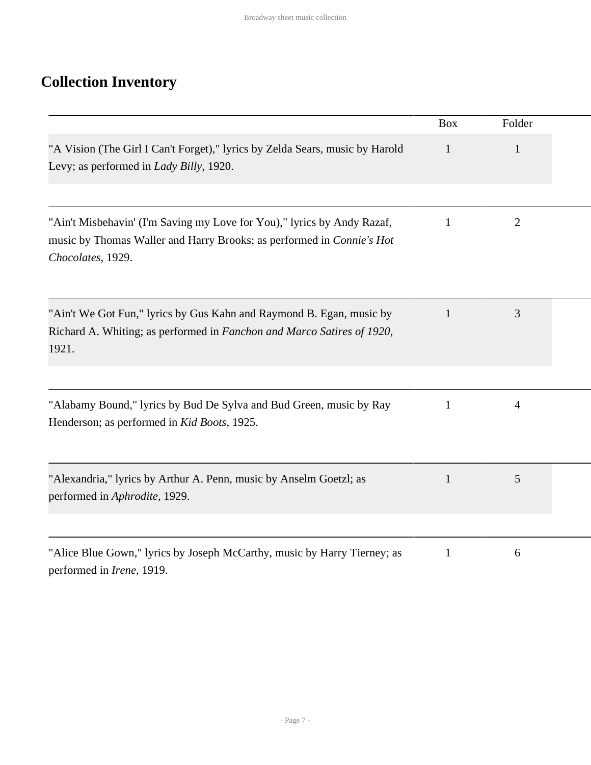# <span id="page-6-0"></span>**Collection Inventory**

|                                                                                                                                                                       | <b>Box</b>   | Folder         |  |
|-----------------------------------------------------------------------------------------------------------------------------------------------------------------------|--------------|----------------|--|
| "A Vision (The Girl I Can't Forget)," lyrics by Zelda Sears, music by Harold<br>Levy; as performed in <i>Lady Billy</i> , 1920.                                       | $\mathbf{1}$ | $\mathbf{1}$   |  |
| "Ain't Misbehavin' (I'm Saving my Love for You)," lyrics by Andy Razaf,<br>music by Thomas Waller and Harry Brooks; as performed in Connie's Hot<br>Chocolates, 1929. | $\mathbf{1}$ | $\overline{2}$ |  |
| "Ain't We Got Fun," lyrics by Gus Kahn and Raymond B. Egan, music by<br>Richard A. Whiting; as performed in Fanchon and Marco Satires of 1920,<br>1921.               | $\mathbf{1}$ | 3              |  |
| "Alabamy Bound," lyrics by Bud De Sylva and Bud Green, music by Ray<br>Henderson; as performed in Kid Boots, 1925.                                                    | 1            | $\overline{4}$ |  |
| "Alexandria," lyrics by Arthur A. Penn, music by Anselm Goetzl; as<br>performed in Aphrodite, 1929.                                                                   | $\mathbf{1}$ | 5              |  |
| "Alice Blue Gown," lyrics by Joseph McCarthy, music by Harry Tierney; as<br>performed in <i>Irene</i> , 1919.                                                         | $\mathbf{1}$ | 6              |  |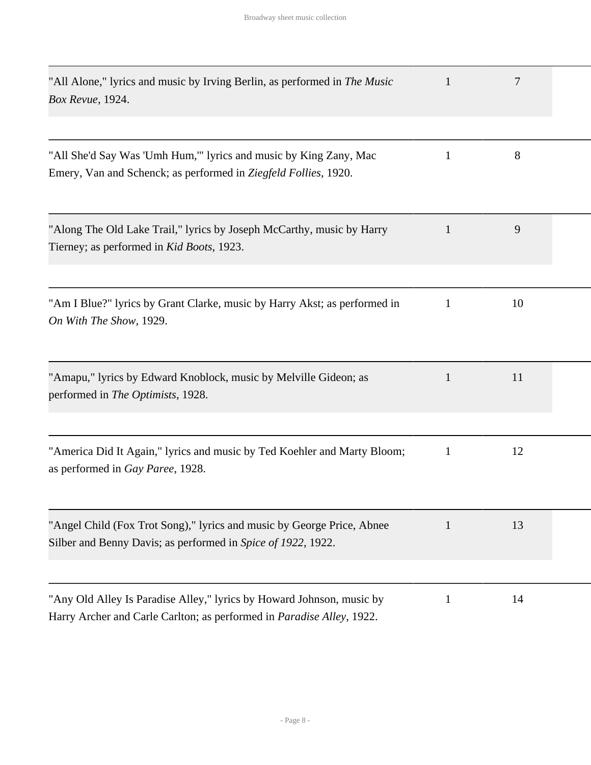| "All Alone," lyrics and music by Irving Berlin, as performed in <i>The Music</i><br>Box Revue, 1924.                                                   | $\mathbf{1}$ | 7  |  |
|--------------------------------------------------------------------------------------------------------------------------------------------------------|--------------|----|--|
| "All She'd Say Was 'Umh Hum," lyrics and music by King Zany, Mac<br>Emery, Van and Schenck; as performed in Ziegfeld Follies, 1920.                    | 1            | 8  |  |
| "Along The Old Lake Trail," lyrics by Joseph McCarthy, music by Harry<br>Tierney; as performed in Kid Boots, 1923.                                     | $\mathbf{1}$ | 9  |  |
| "Am I Blue?" lyrics by Grant Clarke, music by Harry Akst; as performed in<br>On With The Show, 1929.                                                   | 1            | 10 |  |
| "Amapu," lyrics by Edward Knoblock, music by Melville Gideon; as<br>performed in The Optimists, 1928.                                                  | 1            | 11 |  |
| "America Did It Again," lyrics and music by Ted Koehler and Marty Bloom;<br>as performed in Gay Paree, 1928.                                           | 1            | 12 |  |
| "Angel Child (Fox Trot Song)," lyrics and music by George Price, Abnee<br>Silber and Benny Davis; as performed in Spice of 1922, 1922.                 | 1            | 13 |  |
| "Any Old Alley Is Paradise Alley," lyrics by Howard Johnson, music by<br>Harry Archer and Carle Carlton; as performed in <i>Paradise Alley</i> , 1922. | 1            | 14 |  |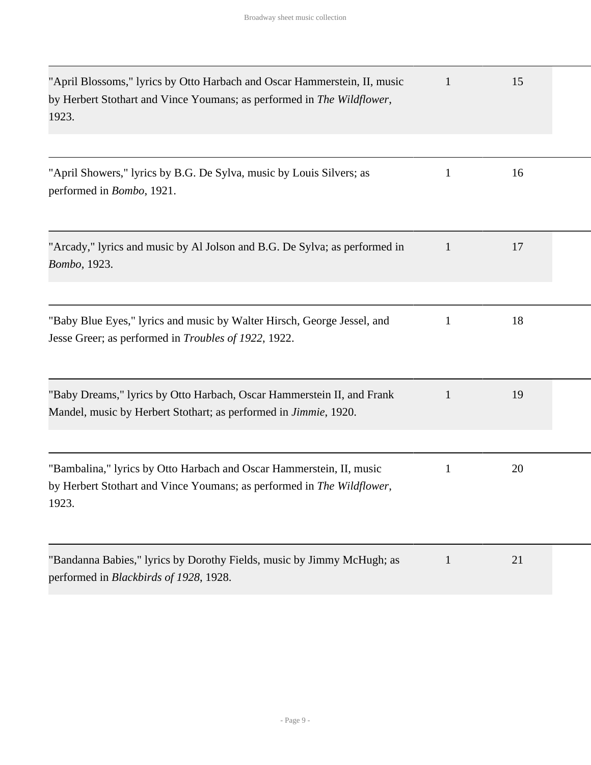| "April Blossoms," lyrics by Otto Harbach and Oscar Hammerstein, II, music<br>by Herbert Stothart and Vince Youmans; as performed in The Wildflower,<br>1923. | $\mathbf 1$  | 15 |  |
|--------------------------------------------------------------------------------------------------------------------------------------------------------------|--------------|----|--|
| "April Showers," lyrics by B.G. De Sylva, music by Louis Silvers; as                                                                                         | $\mathbf{1}$ | 16 |  |
| performed in <i>Bombo</i> , 1921.                                                                                                                            |              |    |  |
| "Arcady," lyrics and music by Al Jolson and B.G. De Sylva; as performed in<br>Bombo, 1923.                                                                   | 1            | 17 |  |
| "Baby Blue Eyes," lyrics and music by Walter Hirsch, George Jessel, and<br>Jesse Greer; as performed in Troubles of 1922, 1922.                              | 1            | 18 |  |
| "Baby Dreams," lyrics by Otto Harbach, Oscar Hammerstein II, and Frank<br>Mandel, music by Herbert Stothart; as performed in <i>Jimmie</i> , 1920.           | $\mathbf{1}$ | 19 |  |
| "Bambalina," lyrics by Otto Harbach and Oscar Hammerstein, II, music<br>by Herbert Stothart and Vince Youmans; as performed in The Wildflower,<br>1923.      | 1            | 20 |  |
| "Bandanna Babies," lyrics by Dorothy Fields, music by Jimmy McHugh; as<br>performed in Blackbirds of 1928, 1928.                                             | $\mathbf{1}$ | 21 |  |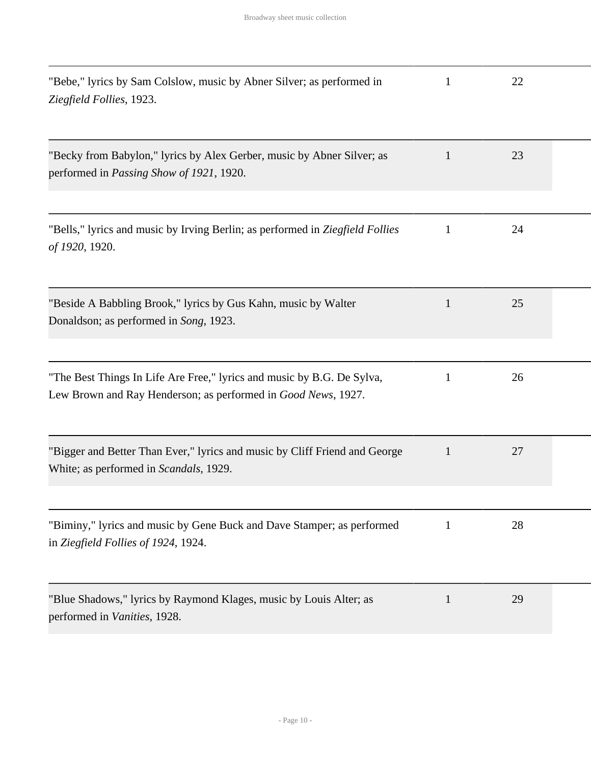| "Bebe," lyrics by Sam Colslow, music by Abner Silver; as performed in<br>Ziegfield Follies, 1923.                                       | 1            | 22 |  |
|-----------------------------------------------------------------------------------------------------------------------------------------|--------------|----|--|
| "Becky from Babylon," lyrics by Alex Gerber, music by Abner Silver; as<br>performed in <i>Passing Show of 1921</i> , 1920.              | 1            | 23 |  |
| "Bells," lyrics and music by Irving Berlin; as performed in Ziegfield Follies<br>of 1920, 1920.                                         | $\mathbf{1}$ | 24 |  |
| "Beside A Babbling Brook," lyrics by Gus Kahn, music by Walter<br>Donaldson; as performed in Song, 1923.                                | $\mathbf{1}$ | 25 |  |
| "The Best Things In Life Are Free," lyrics and music by B.G. De Sylva,<br>Lew Brown and Ray Henderson; as performed in Good News, 1927. | 1            | 26 |  |
| "Bigger and Better Than Ever," lyrics and music by Cliff Friend and George<br>White; as performed in Scandals, 1929.                    | $\mathbf{1}$ | 27 |  |
| "Biminy," lyrics and music by Gene Buck and Dave Stamper; as performed<br>in Ziegfield Follies of 1924, 1924.                           | 1            | 28 |  |
| "Blue Shadows," lyrics by Raymond Klages, music by Louis Alter; as<br>performed in Vanities, 1928.                                      | $\mathbf{1}$ | 29 |  |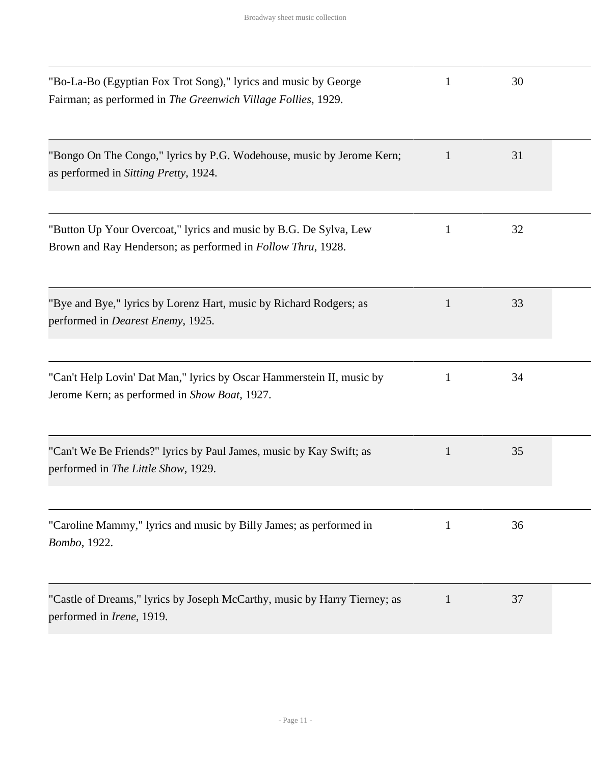| "Bo-La-Bo (Egyptian Fox Trot Song)," lyrics and music by George<br>Fairman; as performed in The Greenwich Village Follies, 1929.         | 1            | 30 |  |
|------------------------------------------------------------------------------------------------------------------------------------------|--------------|----|--|
| "Bongo On The Congo," lyrics by P.G. Wodehouse, music by Jerome Kern;<br>as performed in Sitting Pretty, 1924.                           | 1            | 31 |  |
| "Button Up Your Overcoat," lyrics and music by B.G. De Sylva, Lew<br>Brown and Ray Henderson; as performed in <i>Follow Thru</i> , 1928. | $\mathbf{1}$ | 32 |  |
| "Bye and Bye," lyrics by Lorenz Hart, music by Richard Rodgers; as<br>performed in <i>Dearest Enemy</i> , 1925.                          | 1            | 33 |  |
| "Can't Help Lovin' Dat Man," lyrics by Oscar Hammerstein II, music by<br>Jerome Kern; as performed in Show Boat, 1927.                   | 1            | 34 |  |
| "Can't We Be Friends?" lyrics by Paul James, music by Kay Swift; as<br>performed in The Little Show, 1929.                               | $\mathbf{1}$ | 35 |  |
| "Caroline Mammy," lyrics and music by Billy James; as performed in<br>Bombo, 1922.                                                       | $\mathbf{1}$ | 36 |  |
| "Castle of Dreams," lyrics by Joseph McCarthy, music by Harry Tierney; as<br>performed in <i>Irene</i> , 1919.                           | $\mathbf{1}$ | 37 |  |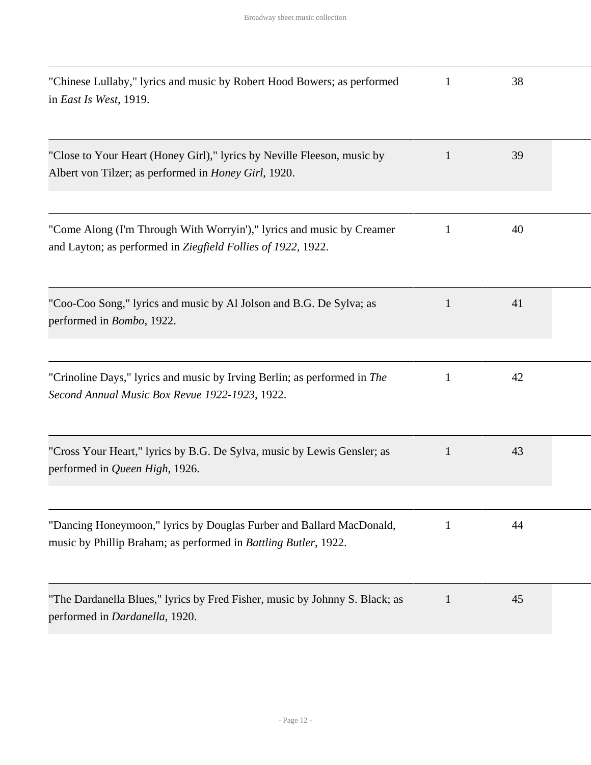| "Chinese Lullaby," lyrics and music by Robert Hood Bowers; as performed<br>in East Is West, 1919.                                       | 1            | 38 |  |
|-----------------------------------------------------------------------------------------------------------------------------------------|--------------|----|--|
| "Close to Your Heart (Honey Girl)," lyrics by Neville Fleeson, music by<br>Albert von Tilzer; as performed in <i>Honey Girl</i> , 1920. | 1            | 39 |  |
| "Come Along (I'm Through With Worryin')," lyrics and music by Creamer<br>and Layton; as performed in Ziegfield Follies of 1922, 1922.   | 1            | 40 |  |
| "Coo-Coo Song," lyrics and music by Al Jolson and B.G. De Sylva; as<br>performed in <i>Bombo</i> , 1922.                                | $\mathbf{1}$ | 41 |  |
| "Crinoline Days," lyrics and music by Irving Berlin; as performed in The<br>Second Annual Music Box Revue 1922-1923, 1922.              | 1            | 42 |  |
| "Cross Your Heart," lyrics by B.G. De Sylva, music by Lewis Gensler; as<br>performed in Queen High, 1926.                               | $\mathbf{1}$ | 43 |  |
| "Dancing Honeymoon," lyrics by Douglas Furber and Ballard MacDonald,<br>music by Phillip Braham; as performed in Battling Butler, 1922. | 1            | 44 |  |
| "The Dardanella Blues," lyrics by Fred Fisher, music by Johnny S. Black; as<br>performed in Dardanella, 1920.                           | 1            | 45 |  |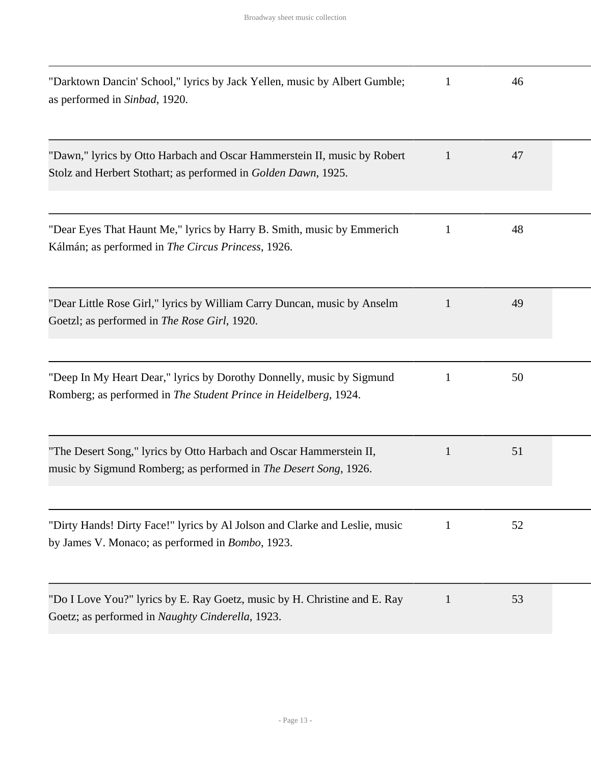| "Darktown Dancin' School," lyrics by Jack Yellen, music by Albert Gumble;<br>as performed in Sinbad, 1920.                                 | 1            | 46 |  |
|--------------------------------------------------------------------------------------------------------------------------------------------|--------------|----|--|
| "Dawn," lyrics by Otto Harbach and Oscar Hammerstein II, music by Robert<br>Stolz and Herbert Stothart; as performed in Golden Dawn, 1925. | 1            | 47 |  |
| "Dear Eyes That Haunt Me," lyrics by Harry B. Smith, music by Emmerich<br>Kálmán; as performed in The Circus Princess, 1926.               | 1            | 48 |  |
| "Dear Little Rose Girl," lyrics by William Carry Duncan, music by Anselm<br>Goetzl; as performed in <i>The Rose Girl</i> , 1920.           | $\mathbf{1}$ | 49 |  |
| "Deep In My Heart Dear," lyrics by Dorothy Donnelly, music by Sigmund<br>Romberg; as performed in The Student Prince in Heidelberg, 1924.  | 1            | 50 |  |
| "The Desert Song," lyrics by Otto Harbach and Oscar Hammerstein II,<br>music by Sigmund Romberg; as performed in The Desert Song, 1926.    | $\mathbf{1}$ | 51 |  |
| "Dirty Hands! Dirty Face!" lyrics by Al Jolson and Clarke and Leslie, music<br>by James V. Monaco; as performed in <i>Bombo</i> , 1923.    | 1            | 52 |  |
| "Do I Love You?" lyrics by E. Ray Goetz, music by H. Christine and E. Ray<br>Goetz; as performed in Naughty Cinderella, 1923.              | 1            | 53 |  |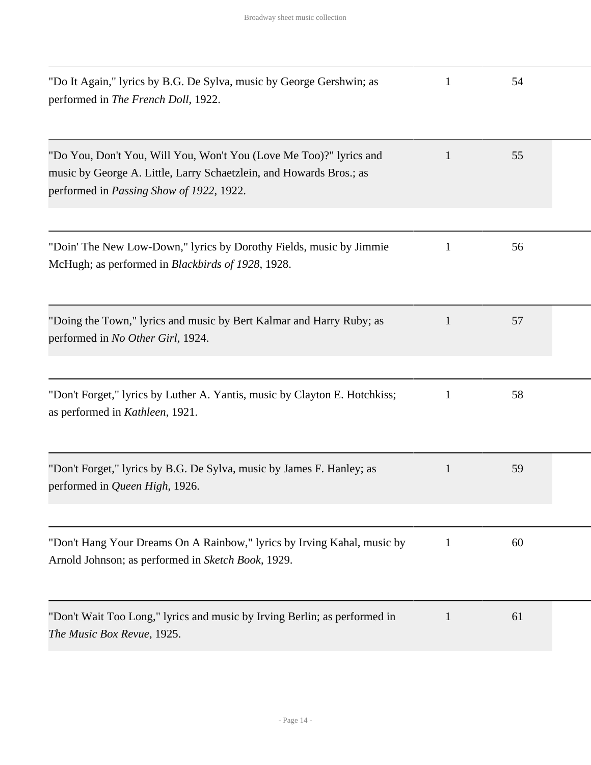| "Do It Again," lyrics by B.G. De Sylva, music by George Gershwin; as<br>performed in The French Doll, 1922.                                                                                   | $\mathbf{1}$ | 54 |  |
|-----------------------------------------------------------------------------------------------------------------------------------------------------------------------------------------------|--------------|----|--|
| "Do You, Don't You, Will You, Won't You (Love Me Too)?" lyrics and<br>music by George A. Little, Larry Schaetzlein, and Howards Bros.; as<br>performed in <i>Passing Show of 1922</i> , 1922. | 1            | 55 |  |
| "Doin' The New Low-Down," lyrics by Dorothy Fields, music by Jimmie<br>McHugh; as performed in Blackbirds of 1928, 1928.                                                                      | $\mathbf{1}$ | 56 |  |
| "Doing the Town," lyrics and music by Bert Kalmar and Harry Ruby; as<br>performed in No Other Girl, 1924.                                                                                     | 1            | 57 |  |
| "Don't Forget," lyrics by Luther A. Yantis, music by Clayton E. Hotchkiss;<br>as performed in Kathleen, 1921.                                                                                 | $\mathbf{1}$ | 58 |  |
| "Don't Forget," lyrics by B.G. De Sylva, music by James F. Hanley; as<br>performed in Queen High, 1926.                                                                                       | 1            | 59 |  |
| "Don't Hang Your Dreams On A Rainbow," lyrics by Irving Kahal, music by<br>Arnold Johnson; as performed in Sketch Book, 1929.                                                                 | $\mathbf{1}$ | 60 |  |
| "Don't Wait Too Long," lyrics and music by Irving Berlin; as performed in<br>The Music Box Revue, 1925.                                                                                       | 1            | 61 |  |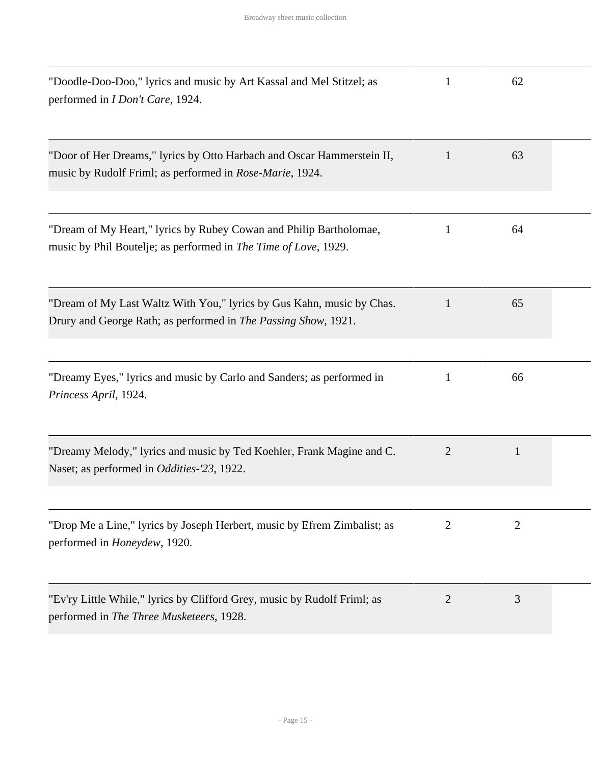| "Doodle-Doo-Doo," lyrics and music by Art Kassal and Mel Stitzel; as<br>performed in <i>I Don't Care</i> , 1924.                        | 1              | 62             |  |
|-----------------------------------------------------------------------------------------------------------------------------------------|----------------|----------------|--|
| "Door of Her Dreams," lyrics by Otto Harbach and Oscar Hammerstein II,<br>music by Rudolf Friml; as performed in Rose-Marie, 1924.      | $\mathbf{1}$   | 63             |  |
| "Dream of My Heart," lyrics by Rubey Cowan and Philip Bartholomae,<br>music by Phil Boutelje; as performed in The Time of Love, 1929.   | $\mathbf{1}$   | 64             |  |
| "Dream of My Last Waltz With You," lyrics by Gus Kahn, music by Chas.<br>Drury and George Rath; as performed in The Passing Show, 1921. | $\mathbf{1}$   | 65             |  |
| "Dreamy Eyes," lyrics and music by Carlo and Sanders; as performed in<br>Princess April, 1924.                                          | 1              | 66             |  |
| "Dreamy Melody," lyrics and music by Ted Koehler, Frank Magine and C.<br>Naset; as performed in <i>Oddities</i> -23, 1922.              | $\overline{2}$ | $\mathbf{1}$   |  |
| "Drop Me a Line," lyrics by Joseph Herbert, music by Efrem Zimbalist; as<br>performed in <i>Honeydew</i> , 1920.                        | $\overline{2}$ | $\overline{2}$ |  |
| "Ev'ry Little While," lyrics by Clifford Grey, music by Rudolf Friml; as<br>performed in The Three Musketeers, 1928.                    | $\overline{2}$ | 3              |  |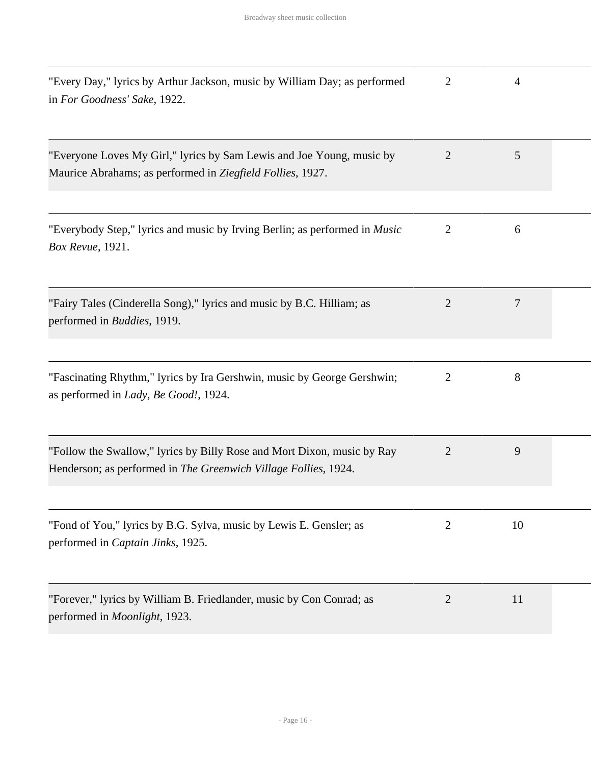| "Every Day," lyrics by Arthur Jackson, music by William Day; as performed<br>in For Goodness' Sake, 1922.                                  | $\overline{2}$ | 4  |  |
|--------------------------------------------------------------------------------------------------------------------------------------------|----------------|----|--|
| "Everyone Loves My Girl," lyrics by Sam Lewis and Joe Young, music by<br>Maurice Abrahams; as performed in Ziegfield Follies, 1927.        | $\overline{2}$ | 5  |  |
| "Everybody Step," lyrics and music by Irving Berlin; as performed in <i>Music</i><br>Box Revue, 1921.                                      | $\overline{2}$ | 6  |  |
| "Fairy Tales (Cinderella Song)," lyrics and music by B.C. Hilliam; as<br>performed in <i>Buddies</i> , 1919.                               | $\overline{2}$ | 7  |  |
| "Fascinating Rhythm," lyrics by Ira Gershwin, music by George Gershwin;<br>as performed in Lady, Be Good!, 1924.                           | $\overline{2}$ | 8  |  |
| "Follow the Swallow," lyrics by Billy Rose and Mort Dixon, music by Ray<br>Henderson; as performed in The Greenwich Village Follies, 1924. | $\overline{2}$ | 9  |  |
| "Fond of You," lyrics by B.G. Sylva, music by Lewis E. Gensler; as<br>performed in Captain Jinks, 1925.                                    | $\overline{2}$ | 10 |  |
| "Forever," lyrics by William B. Friedlander, music by Con Conrad; as<br>performed in Moonlight, 1923.                                      | $\overline{2}$ | 11 |  |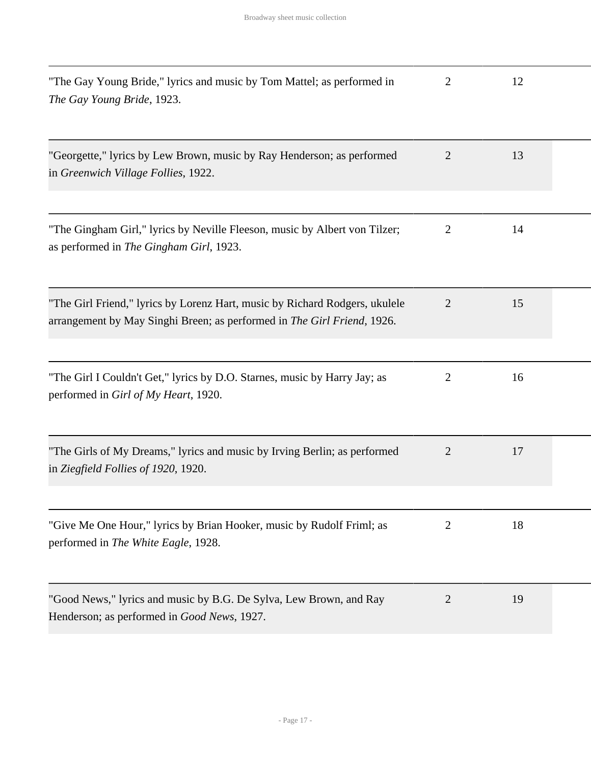| "The Gay Young Bride," lyrics and music by Tom Mattel; as performed in<br>The Gay Young Bride, 1923.                                                   | 2              | 12 |  |
|--------------------------------------------------------------------------------------------------------------------------------------------------------|----------------|----|--|
| "Georgette," lyrics by Lew Brown, music by Ray Henderson; as performed<br>in Greenwich Village Follies, 1922.                                          | $\overline{2}$ | 13 |  |
| "The Gingham Girl," lyrics by Neville Fleeson, music by Albert von Tilzer;<br>as performed in The Gingham Girl, 1923.                                  | $\overline{2}$ | 14 |  |
| "The Girl Friend," lyrics by Lorenz Hart, music by Richard Rodgers, ukulele<br>arrangement by May Singhi Breen; as performed in The Girl Friend, 1926. | $\overline{2}$ | 15 |  |
| "The Girl I Couldn't Get," lyrics by D.O. Starnes, music by Harry Jay; as<br>performed in Girl of My Heart, 1920.                                      | 2              | 16 |  |
| "The Girls of My Dreams," lyrics and music by Irving Berlin; as performed<br>in Ziegfield Follies of 1920, 1920.                                       | $\overline{2}$ | 17 |  |
| "Give Me One Hour," lyrics by Brian Hooker, music by Rudolf Friml; as<br>performed in The White Eagle, 1928.                                           | $\overline{2}$ | 18 |  |
| "Good News," lyrics and music by B.G. De Sylva, Lew Brown, and Ray<br>Henderson; as performed in Good News, 1927.                                      | $\overline{2}$ | 19 |  |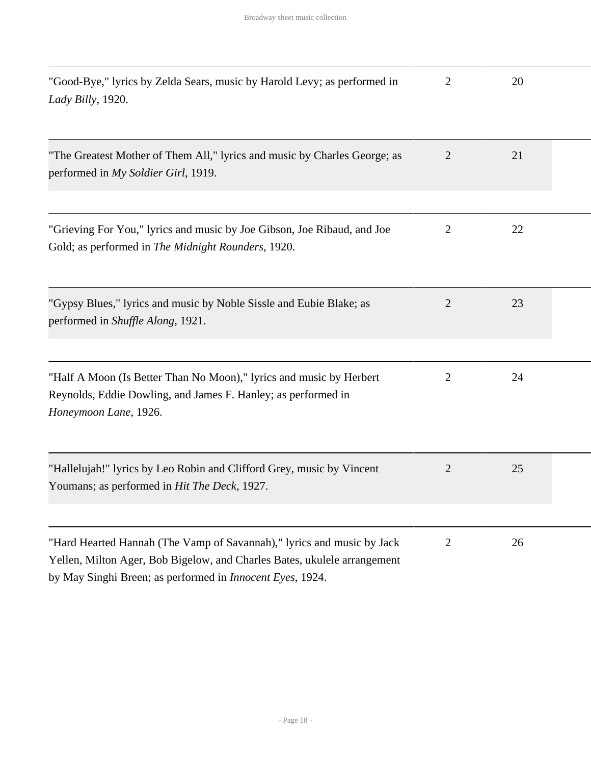| "Good-Bye," lyrics by Zelda Sears, music by Harold Levy; as performed in<br>Lady Billy, 1920.                                                                                                                           | $\overline{2}$ | 20 |  |
|-------------------------------------------------------------------------------------------------------------------------------------------------------------------------------------------------------------------------|----------------|----|--|
| "The Greatest Mother of Them All," lyrics and music by Charles George; as<br>performed in My Soldier Girl, 1919.                                                                                                        | $\overline{2}$ | 21 |  |
| "Grieving For You," lyrics and music by Joe Gibson, Joe Ribaud, and Joe<br>Gold; as performed in The Midnight Rounders, 1920.                                                                                           | 2              | 22 |  |
| "Gypsy Blues," lyrics and music by Noble Sissle and Eubie Blake; as<br>performed in Shuffle Along, 1921.                                                                                                                | $\overline{2}$ | 23 |  |
| "Half A Moon (Is Better Than No Moon)," lyrics and music by Herbert<br>Reynolds, Eddie Dowling, and James F. Hanley; as performed in<br>Honeymoon Lane, 1926.                                                           | 2              | 24 |  |
| "Hallelujah!" lyrics by Leo Robin and Clifford Grey, music by Vincent<br>Youmans; as performed in Hit The Deck, 1927.                                                                                                   | 2              | 25 |  |
| "Hard Hearted Hannah (The Vamp of Savannah)," lyrics and music by Jack<br>Yellen, Milton Ager, Bob Bigelow, and Charles Bates, ukulele arrangement<br>by May Singhi Breen; as performed in <i>Innocent Eyes</i> , 1924. | $\overline{2}$ | 26 |  |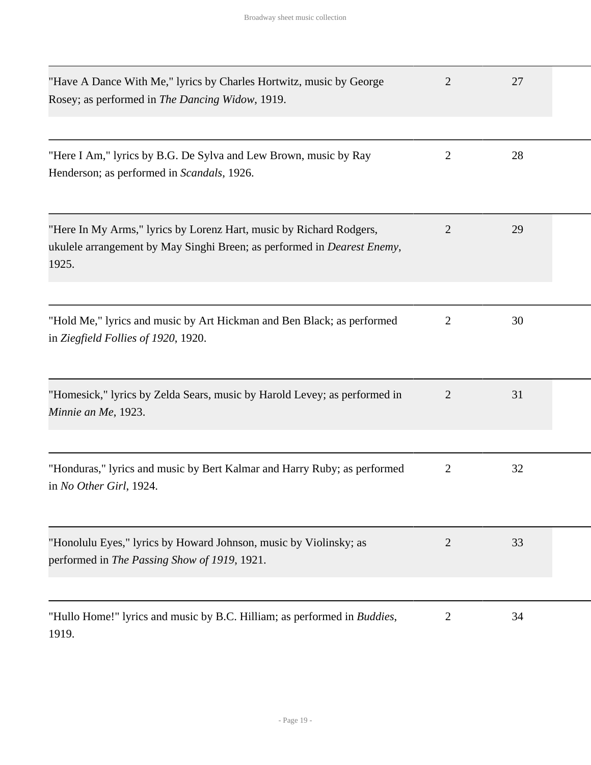| "Have A Dance With Me," lyrics by Charles Hortwitz, music by George<br>Rosey; as performed in The Dancing Widow, 1919.                                          | $\overline{2}$ | 27 |  |
|-----------------------------------------------------------------------------------------------------------------------------------------------------------------|----------------|----|--|
| "Here I Am," lyrics by B.G. De Sylva and Lew Brown, music by Ray<br>Henderson; as performed in Scandals, 1926.                                                  | $\overline{2}$ | 28 |  |
| "Here In My Arms," lyrics by Lorenz Hart, music by Richard Rodgers,<br>ukulele arrangement by May Singhi Breen; as performed in <i>Dearest Enemy</i> ,<br>1925. | $\overline{2}$ | 29 |  |
| "Hold Me," lyrics and music by Art Hickman and Ben Black; as performed<br>in Ziegfield Follies of 1920, 1920.                                                   | 2              | 30 |  |
| "Homesick," lyrics by Zelda Sears, music by Harold Levey; as performed in<br>Minnie an Me, 1923.                                                                | $\overline{2}$ | 31 |  |
| "Honduras," lyrics and music by Bert Kalmar and Harry Ruby; as performed<br>in No Other Girl, 1924.                                                             | $\overline{2}$ | 32 |  |
| "Honolulu Eyes," lyrics by Howard Johnson, music by Violinsky; as<br>performed in The Passing Show of 1919, 1921.                                               | 2              | 33 |  |
| "Hullo Home!" lyrics and music by B.C. Hilliam; as performed in <i>Buddies</i> ,<br>1919.                                                                       | $\overline{2}$ | 34 |  |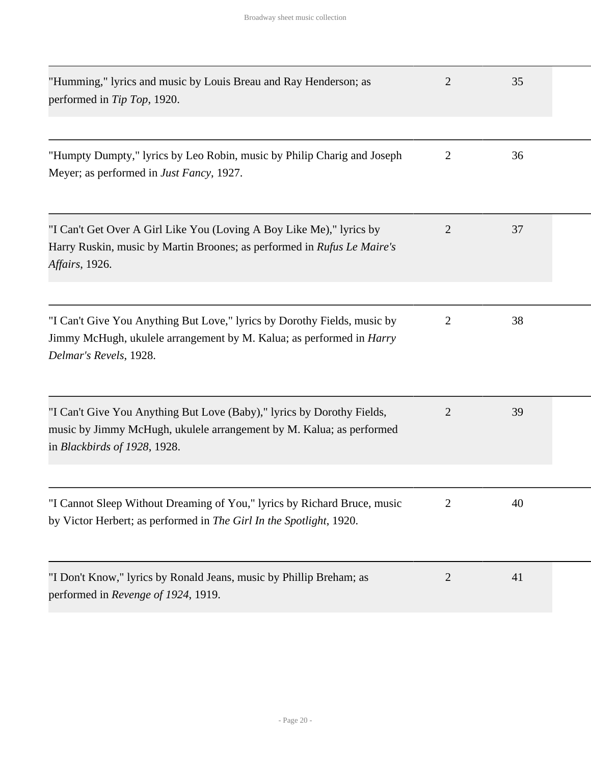| "Humming," lyrics and music by Louis Breau and Ray Henderson; as<br>performed in Tip Top, 1920.                                                                                   | 2              | 35 |  |
|-----------------------------------------------------------------------------------------------------------------------------------------------------------------------------------|----------------|----|--|
| "Humpty Dumpty," lyrics by Leo Robin, music by Philip Charig and Joseph<br>Meyer; as performed in <i>Just Fancy</i> , 1927.                                                       | $\overline{2}$ | 36 |  |
| "I Can't Get Over A Girl Like You (Loving A Boy Like Me)," lyrics by<br>Harry Ruskin, music by Martin Broones; as performed in Rufus Le Maire's<br><i>Affairs</i> , 1926.         | $\overline{2}$ | 37 |  |
| "I Can't Give You Anything But Love," lyrics by Dorothy Fields, music by<br>Jimmy McHugh, ukulele arrangement by M. Kalua; as performed in <i>Harry</i><br>Delmar's Revels, 1928. | 2              | 38 |  |
| "I Can't Give You Anything But Love (Baby)," lyrics by Dorothy Fields,<br>music by Jimmy McHugh, ukulele arrangement by M. Kalua; as performed<br>in Blackbirds of 1928, 1928.    | 2              | 39 |  |
| "I Cannot Sleep Without Dreaming of You," lyrics by Richard Bruce, music<br>by Victor Herbert; as performed in The Girl In the Spotlight, 1920.                                   | $\overline{2}$ | 40 |  |
| "I Don't Know," lyrics by Ronald Jeans, music by Phillip Breham; as<br>performed in Revenge of 1924, 1919.                                                                        | $\overline{2}$ | 41 |  |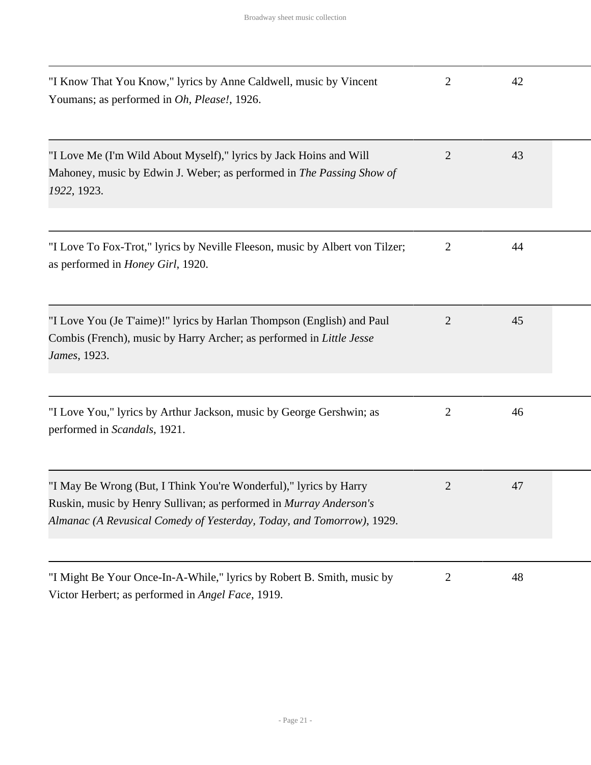| "I Know That You Know," lyrics by Anne Caldwell, music by Vincent<br>Youmans; as performed in Oh, Please!, 1926.                                                                                                 | 2              | 42 |  |
|------------------------------------------------------------------------------------------------------------------------------------------------------------------------------------------------------------------|----------------|----|--|
| "I Love Me (I'm Wild About Myself)," lyrics by Jack Hoins and Will<br>Mahoney, music by Edwin J. Weber; as performed in The Passing Show of<br>1922, 1923.                                                       | 2              | 43 |  |
| "I Love To Fox-Trot," lyrics by Neville Fleeson, music by Albert von Tilzer;<br>as performed in <i>Honey Girl</i> , 1920.                                                                                        | $\overline{2}$ | 44 |  |
| "I Love You (Je T'aime)!" lyrics by Harlan Thompson (English) and Paul<br>Combis (French), music by Harry Archer; as performed in Little Jesse<br>James, 1923.                                                   | 2              | 45 |  |
| "I Love You," lyrics by Arthur Jackson, music by George Gershwin; as<br>performed in Scandals, 1921.                                                                                                             | 2              | 46 |  |
| "I May Be Wrong (But, I Think You're Wonderful)," lyrics by Harry<br>Ruskin, music by Henry Sullivan; as performed in Murray Anderson's<br>Almanac (A Revusical Comedy of Yesterday, Today, and Tomorrow), 1929. | 2              | 47 |  |
| "I Might Be Your Once-In-A-While," lyrics by Robert B. Smith, music by                                                                                                                                           | $\overline{2}$ | 48 |  |

Victor Herbert; as performed in *Angel Face*, 1919.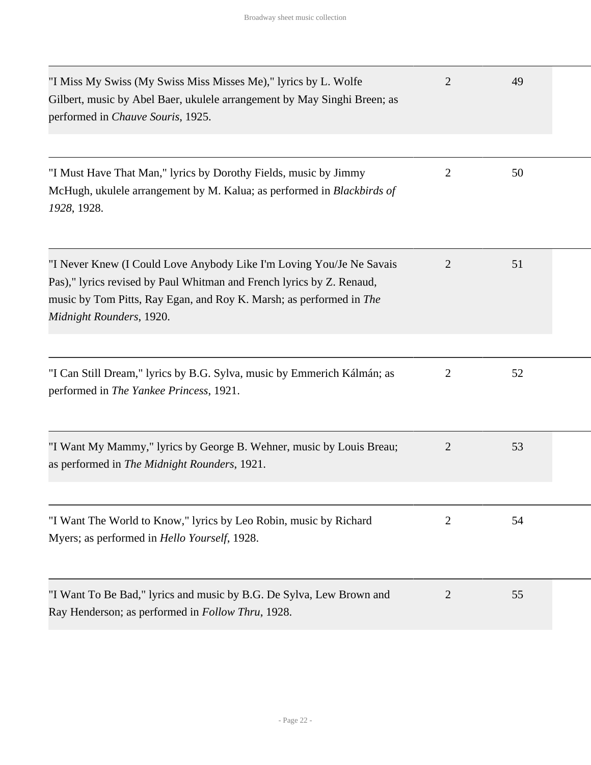| "I Miss My Swiss (My Swiss Miss Misses Me)," lyrics by L. Wolfe<br>Gilbert, music by Abel Baer, ukulele arrangement by May Singhi Breen; as<br>performed in Chauve Souris, 1925.                                                                 | $\overline{2}$ | 49 |  |
|--------------------------------------------------------------------------------------------------------------------------------------------------------------------------------------------------------------------------------------------------|----------------|----|--|
| "I Must Have That Man," lyrics by Dorothy Fields, music by Jimmy<br>McHugh, ukulele arrangement by M. Kalua; as performed in Blackbirds of<br>1928, 1928.                                                                                        | $\overline{2}$ | 50 |  |
| "I Never Knew (I Could Love Anybody Like I'm Loving You/Je Ne Savais<br>Pas)," lyrics revised by Paul Whitman and French lyrics by Z. Renaud,<br>music by Tom Pitts, Ray Egan, and Roy K. Marsh; as performed in The<br>Midnight Rounders, 1920. | 2              | 51 |  |
| "I Can Still Dream," lyrics by B.G. Sylva, music by Emmerich Kálmán; as<br>performed in The Yankee Princess, 1921.                                                                                                                               | $\overline{2}$ | 52 |  |
| "I Want My Mammy," lyrics by George B. Wehner, music by Louis Breau;<br>as performed in The Midnight Rounders, 1921.                                                                                                                             | $\overline{2}$ | 53 |  |
| "I Want The World to Know," lyrics by Leo Robin, music by Richard<br>Myers; as performed in <i>Hello Yourself</i> , 1928.                                                                                                                        | 2              | 54 |  |
| "I Want To Be Bad," lyrics and music by B.G. De Sylva, Lew Brown and<br>Ray Henderson; as performed in <i>Follow Thru</i> , 1928.                                                                                                                | 2              | 55 |  |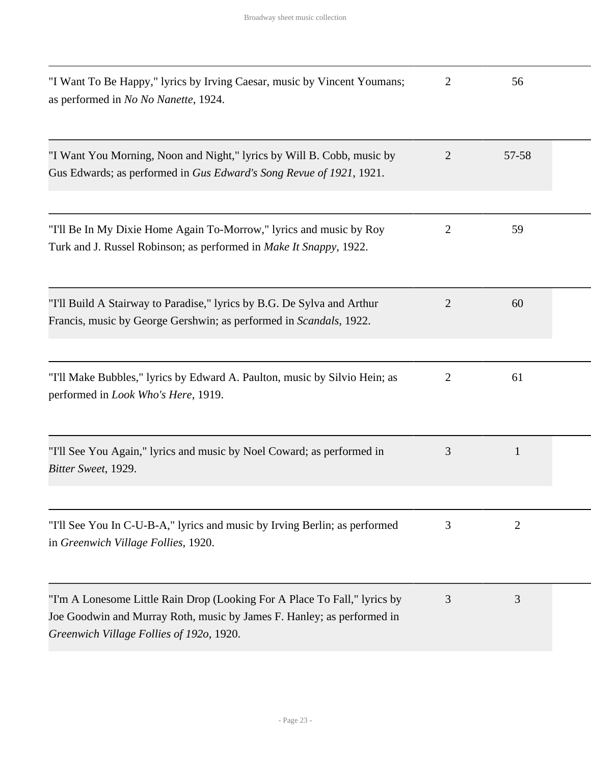| "I Want To Be Happy," lyrics by Irving Caesar, music by Vincent Youmans;<br>as performed in No No Nanette, 1924.                                                                                | $\overline{2}$ | 56           |  |
|-------------------------------------------------------------------------------------------------------------------------------------------------------------------------------------------------|----------------|--------------|--|
| "I Want You Morning, Noon and Night," lyrics by Will B. Cobb, music by<br>Gus Edwards; as performed in Gus Edward's Song Revue of 1921, 1921.                                                   | $\overline{2}$ | 57-58        |  |
| "I'll Be In My Dixie Home Again To-Morrow," lyrics and music by Roy<br>Turk and J. Russel Robinson; as performed in Make It Snappy, 1922.                                                       | $\overline{2}$ | 59           |  |
| "I'll Build A Stairway to Paradise," lyrics by B.G. De Sylva and Arthur<br>Francis, music by George Gershwin; as performed in <i>Scandals</i> , 1922.                                           | 2              | 60           |  |
| "I'll Make Bubbles," lyrics by Edward A. Paulton, music by Silvio Hein; as<br>performed in Look Who's Here, 1919.                                                                               | 2              | 61           |  |
| "I'll See You Again," lyrics and music by Noel Coward; as performed in<br>Bitter Sweet, 1929.                                                                                                   | 3              | $\mathbf{1}$ |  |
| "I'll See You In C-U-B-A," lyrics and music by Irving Berlin; as performed<br>in Greenwich Village Follies, 1920.                                                                               | 3              | 2            |  |
| "I'm A Lonesome Little Rain Drop (Looking For A Place To Fall," lyrics by<br>Joe Goodwin and Murray Roth, music by James F. Hanley; as performed in<br>Greenwich Village Follies of 1920, 1920. | 3              | 3            |  |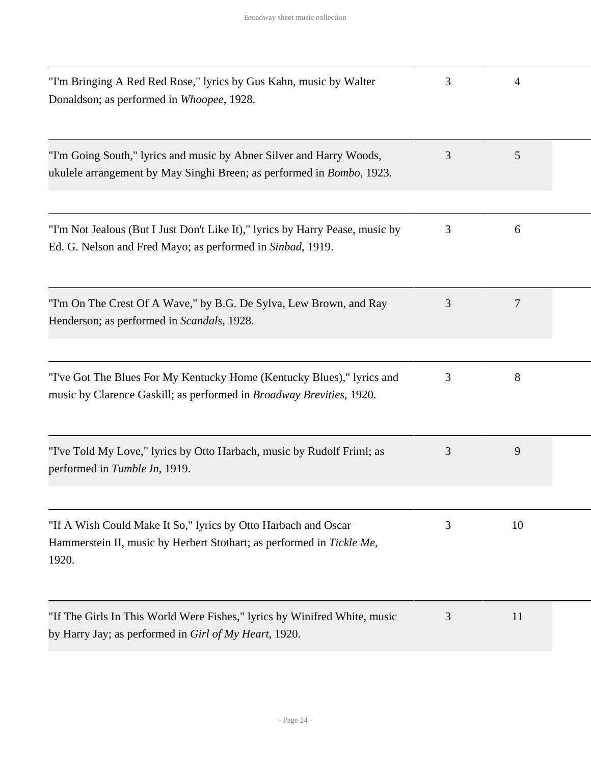| "I'm Bringing A Red Red Rose," lyrics by Gus Kahn, music by Walter<br>Donaldson; as performed in Whoopee, 1928.                                       | 3 | 4  |  |
|-------------------------------------------------------------------------------------------------------------------------------------------------------|---|----|--|
| "I'm Going South," lyrics and music by Abner Silver and Harry Woods,<br>ukulele arrangement by May Singhi Breen; as performed in <i>Bombo</i> , 1923. | 3 | 5  |  |
| "I'm Not Jealous (But I Just Don't Like It)," lyrics by Harry Pease, music by<br>Ed. G. Nelson and Fred Mayo; as performed in Sinbad, 1919.           | 3 | 6  |  |
| "I'm On The Crest Of A Wave," by B.G. De Sylva, Lew Brown, and Ray<br>Henderson; as performed in Scandals, 1928.                                      | 3 | 7  |  |
| "I've Got The Blues For My Kentucky Home (Kentucky Blues)," lyrics and<br>music by Clarence Gaskill; as performed in Broadway Brevities, 1920.        | 3 | 8  |  |
| "I've Told My Love," lyrics by Otto Harbach, music by Rudolf Friml; as<br>performed in Tumble In, 1919.                                               | 3 | 9  |  |
| "If A Wish Could Make It So," lyrics by Otto Harbach and Oscar<br>Hammerstein II, music by Herbert Stothart; as performed in Tickle Me,<br>1920.      | 3 | 10 |  |
| "If The Girls In This World Were Fishes," lyrics by Winifred White, music<br>by Harry Jay; as performed in <i>Girl of My Heart</i> , 1920.            | 3 | 11 |  |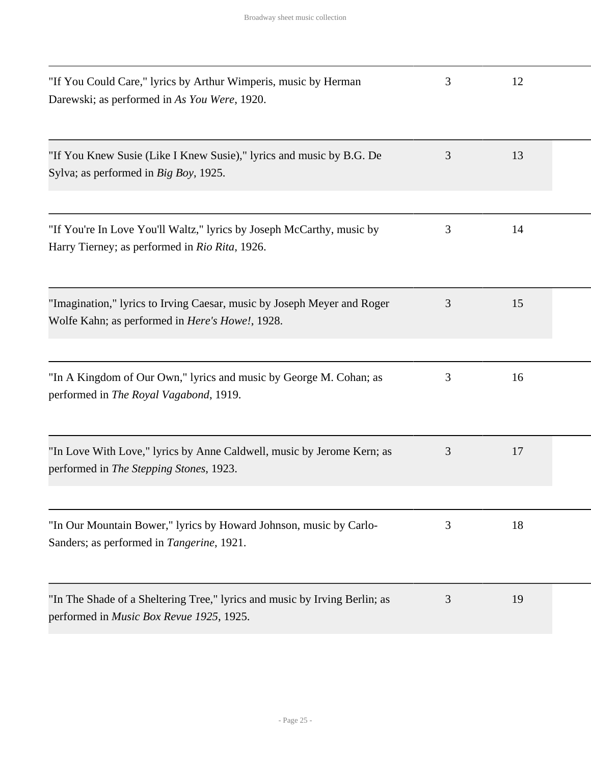| "If You Could Care," lyrics by Arthur Wimperis, music by Herman<br>Darewski; as performed in As You Were, 1920.                    | 3 | 12 |  |
|------------------------------------------------------------------------------------------------------------------------------------|---|----|--|
| "If You Knew Susie (Like I Knew Susie)," lyrics and music by B.G. De<br>Sylva; as performed in Big Boy, 1925.                      | 3 | 13 |  |
| "If You're In Love You'll Waltz," lyrics by Joseph McCarthy, music by<br>Harry Tierney; as performed in Rio Rita, 1926.            | 3 | 14 |  |
| "Imagination," lyrics to Irving Caesar, music by Joseph Meyer and Roger<br>Wolfe Kahn; as performed in <i>Here's Howe!</i> , 1928. | 3 | 15 |  |
| "In A Kingdom of Our Own," lyrics and music by George M. Cohan; as<br>performed in The Royal Vagabond, 1919.                       | 3 | 16 |  |
| "In Love With Love," lyrics by Anne Caldwell, music by Jerome Kern; as<br>performed in The Stepping Stones, 1923.                  | 3 | 17 |  |
| "In Our Mountain Bower," lyrics by Howard Johnson, music by Carlo-<br>Sanders; as performed in Tangerine, 1921.                    | 3 | 18 |  |
| "In The Shade of a Sheltering Tree," lyrics and music by Irving Berlin; as<br>performed in <i>Music Box Revue 1925</i> , 1925.     | 3 | 19 |  |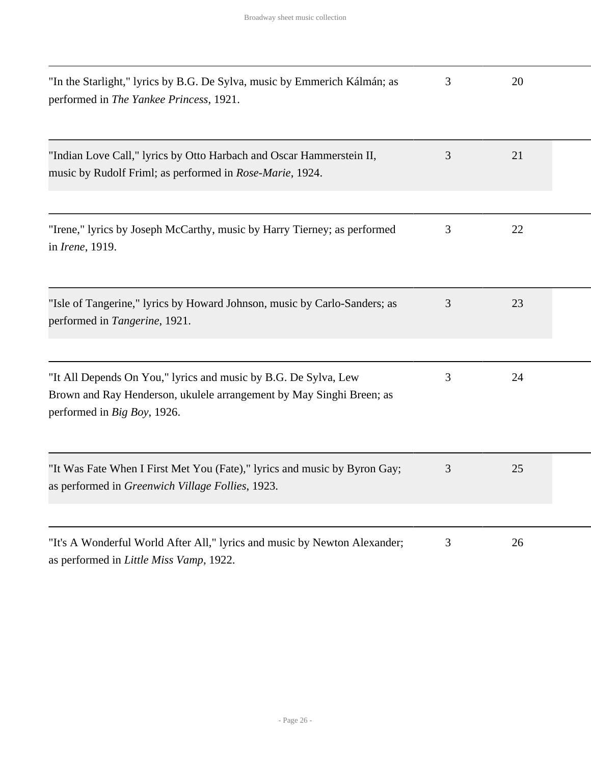| "In the Starlight," lyrics by B.G. De Sylva, music by Emmerich Kálmán; as<br>performed in The Yankee Princess, 1921.                                                   | 3 | 20 |  |
|------------------------------------------------------------------------------------------------------------------------------------------------------------------------|---|----|--|
| "Indian Love Call," lyrics by Otto Harbach and Oscar Hammerstein II,<br>music by Rudolf Friml; as performed in Rose-Marie, 1924.                                       | 3 | 21 |  |
| "Irene," lyrics by Joseph McCarthy, music by Harry Tierney; as performed<br>in <i>Irene</i> , 1919.                                                                    | 3 | 22 |  |
| "Isle of Tangerine," lyrics by Howard Johnson, music by Carlo-Sanders; as<br>performed in Tangerine, 1921.                                                             | 3 | 23 |  |
| "It All Depends On You," lyrics and music by B.G. De Sylva, Lew<br>Brown and Ray Henderson, ukulele arrangement by May Singhi Breen; as<br>performed in Big Boy, 1926. | 3 | 24 |  |
| "It Was Fate When I First Met You (Fate)," lyrics and music by Byron Gay;<br>as performed in Greenwich Village Follies, 1923.                                          | 3 | 25 |  |
| "It's A Wonderful World After All," lyrics and music by Newton Alexander;<br>as performed in Little Miss Vamp, 1922.                                                   | 3 | 26 |  |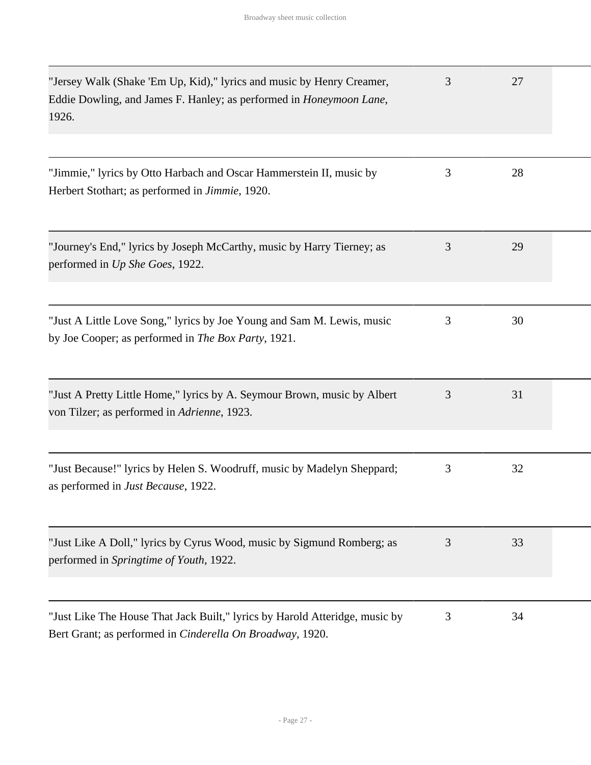| "Jersey Walk (Shake 'Em Up, Kid)," lyrics and music by Henry Creamer,<br>Eddie Dowling, and James F. Hanley; as performed in <i>Honeymoon Lane</i> ,<br>1926. | 3 | 27 |  |
|---------------------------------------------------------------------------------------------------------------------------------------------------------------|---|----|--|
|                                                                                                                                                               |   |    |  |
| "Jimmie," lyrics by Otto Harbach and Oscar Hammerstein II, music by<br>Herbert Stothart; as performed in Jimmie, 1920.                                        | 3 | 28 |  |
| "Journey's End," lyrics by Joseph McCarthy, music by Harry Tierney; as<br>performed in Up She Goes, 1922.                                                     | 3 | 29 |  |
| "Just A Little Love Song," lyrics by Joe Young and Sam M. Lewis, music<br>by Joe Cooper; as performed in The Box Party, 1921.                                 | 3 | 30 |  |
| "Just A Pretty Little Home," lyrics by A. Seymour Brown, music by Albert<br>von Tilzer; as performed in Adrienne, 1923.                                       | 3 | 31 |  |
| "Just Because!" lyrics by Helen S. Woodruff, music by Madelyn Sheppard;<br>as performed in Just Because, 1922.                                                | 3 | 32 |  |
| "Just Like A Doll," lyrics by Cyrus Wood, music by Sigmund Romberg; as<br>performed in Springtime of Youth, 1922.                                             | 3 | 33 |  |
| "Just Like The House That Jack Built," lyrics by Harold Atteridge, music by<br>Bert Grant; as performed in Cinderella On Broadway, 1920.                      | 3 | 34 |  |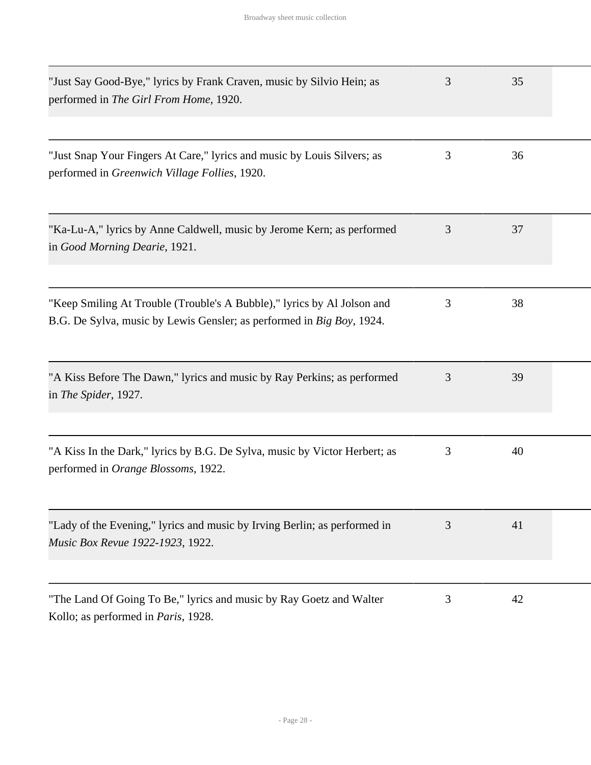| "Just Say Good-Bye," lyrics by Frank Craven, music by Silvio Hein; as<br>performed in The Girl From Home, 1920.                                  | 3 | 35 |  |
|--------------------------------------------------------------------------------------------------------------------------------------------------|---|----|--|
| "Just Snap Your Fingers At Care," lyrics and music by Louis Silvers; as<br>performed in Greenwich Village Follies, 1920.                         | 3 | 36 |  |
| "Ka-Lu-A," lyrics by Anne Caldwell, music by Jerome Kern; as performed<br>in Good Morning Dearie, 1921.                                          | 3 | 37 |  |
| "Keep Smiling At Trouble (Trouble's A Bubble)," lyrics by Al Jolson and<br>B.G. De Sylva, music by Lewis Gensler; as performed in Big Boy, 1924. | 3 | 38 |  |
| "A Kiss Before The Dawn," lyrics and music by Ray Perkins; as performed<br>in The Spider, 1927.                                                  | 3 | 39 |  |
| "A Kiss In the Dark," lyrics by B.G. De Sylva, music by Victor Herbert; as<br>performed in Orange Blossoms, 1922.                                | 3 | 40 |  |
| "Lady of the Evening," lyrics and music by Irving Berlin; as performed in<br>Music Box Revue 1922-1923, 1922.                                    | 3 | 41 |  |
| "The Land Of Going To Be," lyrics and music by Ray Goetz and Walter<br>Kollo; as performed in Paris, 1928.                                       | 3 | 42 |  |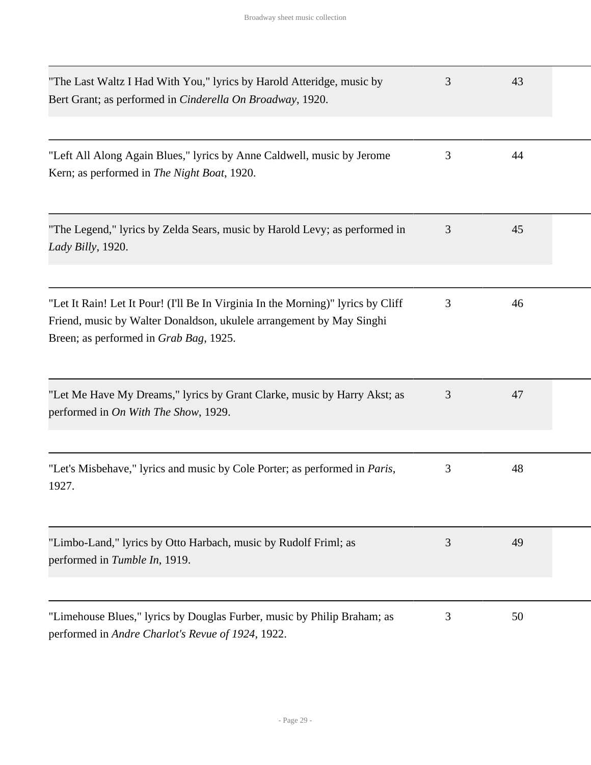| "The Last Waltz I Had With You," lyrics by Harold Atteridge, music by<br>Bert Grant; as performed in <i>Cinderella On Broadway</i> , 1920.                                                         | 3 | 43 |  |
|----------------------------------------------------------------------------------------------------------------------------------------------------------------------------------------------------|---|----|--|
| "Left All Along Again Blues," lyrics by Anne Caldwell, music by Jerome<br>Kern; as performed in The Night Boat, 1920.                                                                              | 3 | 44 |  |
| "The Legend," lyrics by Zelda Sears, music by Harold Levy; as performed in<br>Lady Billy, 1920.                                                                                                    | 3 | 45 |  |
| "Let It Rain! Let It Pour! (I'll Be In Virginia In the Morning)" lyrics by Cliff<br>Friend, music by Walter Donaldson, ukulele arrangement by May Singhi<br>Breen; as performed in Grab Bag, 1925. | 3 | 46 |  |
| "Let Me Have My Dreams," lyrics by Grant Clarke, music by Harry Akst; as<br>performed in On With The Show, 1929.                                                                                   | 3 | 47 |  |
| "Let's Misbehave," lyrics and music by Cole Porter; as performed in <i>Paris</i> ,<br>1927.                                                                                                        | 3 | 48 |  |
| "Limbo-Land," lyrics by Otto Harbach, music by Rudolf Friml; as<br>performed in Tumble In, 1919.                                                                                                   | 3 | 49 |  |
| "Limehouse Blues," lyrics by Douglas Furber, music by Philip Braham; as<br>performed in Andre Charlot's Revue of 1924, 1922.                                                                       | 3 | 50 |  |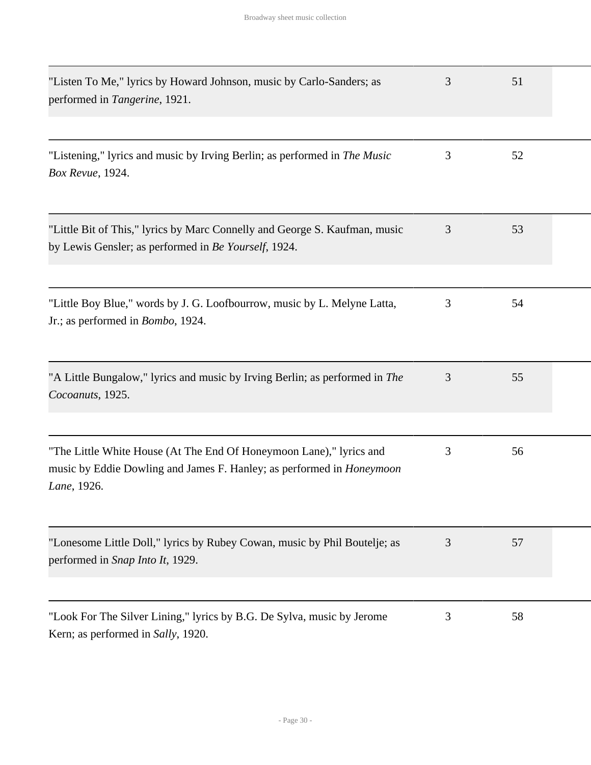| "Listen To Me," lyrics by Howard Johnson, music by Carlo-Sanders; as<br>performed in Tangerine, 1921.                                                              | 3 | 51 |  |
|--------------------------------------------------------------------------------------------------------------------------------------------------------------------|---|----|--|
| "Listening," lyrics and music by Irving Berlin; as performed in <i>The Music</i><br>Box Revue, 1924.                                                               | 3 | 52 |  |
| "Little Bit of This," lyrics by Marc Connelly and George S. Kaufman, music<br>by Lewis Gensler; as performed in Be Yourself, 1924.                                 | 3 | 53 |  |
| "Little Boy Blue," words by J. G. Loofbourrow, music by L. Melyne Latta,<br>Jr.; as performed in <i>Bombo</i> , 1924.                                              | 3 | 54 |  |
| "A Little Bungalow," lyrics and music by Irving Berlin; as performed in The<br>Cocoanuts, 1925.                                                                    | 3 | 55 |  |
| "The Little White House (At The End Of Honeymoon Lane)," lyrics and<br>music by Eddie Dowling and James F. Hanley; as performed in <i>Honeymoon</i><br>Lane, 1926. | 3 | 56 |  |
| "Lonesome Little Doll," lyrics by Rubey Cowan, music by Phil Boutelje; as<br>performed in Snap Into It, 1929.                                                      | 3 | 57 |  |
| "Look For The Silver Lining," lyrics by B.G. De Sylva, music by Jerome<br>Kern; as performed in Sally, 1920.                                                       | 3 | 58 |  |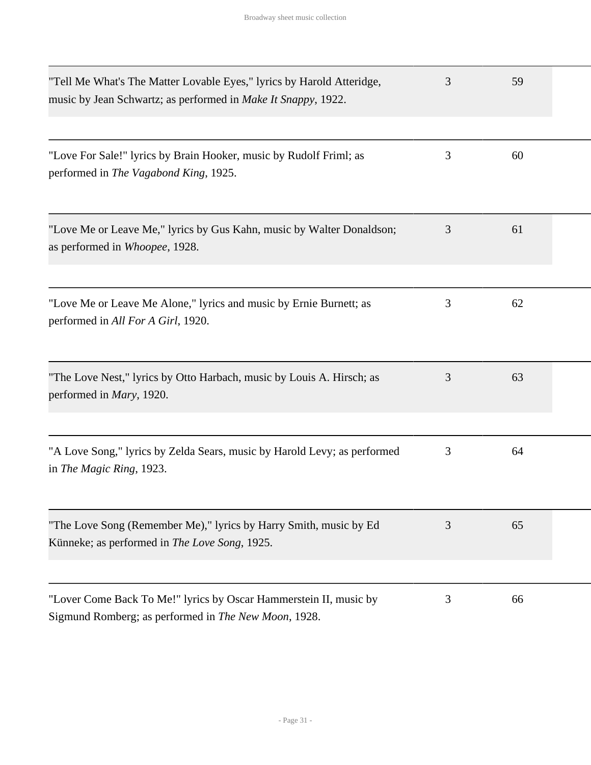| "Tell Me What's The Matter Lovable Eyes," lyrics by Harold Atteridge,<br>music by Jean Schwartz; as performed in Make It Snappy, 1922. | 3 | 59 |  |
|----------------------------------------------------------------------------------------------------------------------------------------|---|----|--|
| "Love For Sale!" lyrics by Brain Hooker, music by Rudolf Friml; as<br>performed in The Vagabond King, 1925.                            | 3 | 60 |  |
| "Love Me or Leave Me," lyrics by Gus Kahn, music by Walter Donaldson;<br>as performed in Whoopee, 1928.                                | 3 | 61 |  |
| "Love Me or Leave Me Alone," lyrics and music by Ernie Burnett; as<br>performed in All For A Girl, 1920.                               | 3 | 62 |  |
| "The Love Nest," lyrics by Otto Harbach, music by Louis A. Hirsch; as<br>performed in <i>Mary</i> , 1920.                              | 3 | 63 |  |
| "A Love Song," lyrics by Zelda Sears, music by Harold Levy; as performed<br>in The Magic Ring, 1923.                                   | 3 | 64 |  |
| "The Love Song (Remember Me)," lyrics by Harry Smith, music by Ed<br>Künneke; as performed in The Love Song, 1925.                     | 3 | 65 |  |
| "Lover Come Back To Me!" lyrics by Oscar Hammerstein II, music by<br>Sigmund Romberg; as performed in The New Moon, 1928.              | 3 | 66 |  |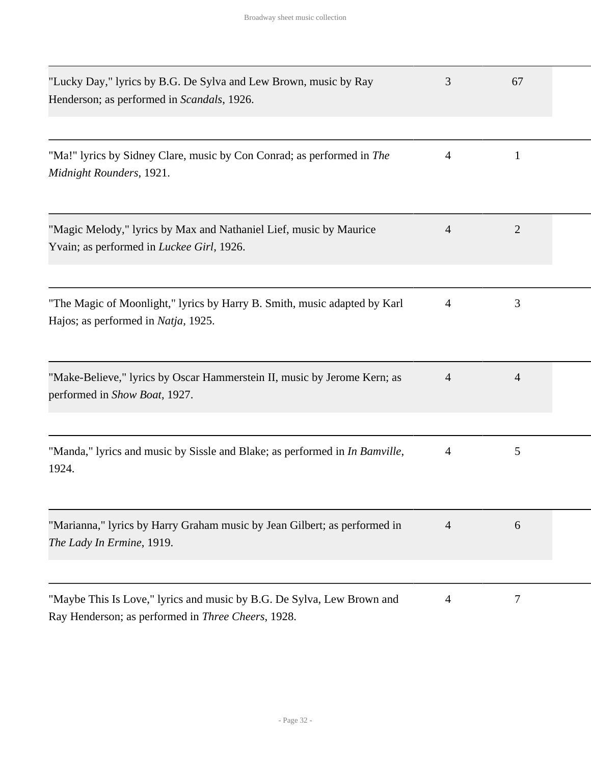| "Lucky Day," lyrics by B.G. De Sylva and Lew Brown, music by Ray<br>Henderson; as performed in Scandals, 1926.               | 3              | 67             |  |
|------------------------------------------------------------------------------------------------------------------------------|----------------|----------------|--|
| "Ma!" lyrics by Sidney Clare, music by Con Conrad; as performed in The<br>Midnight Rounders, 1921.                           | 4              | 1              |  |
| "Magic Melody," lyrics by Max and Nathaniel Lief, music by Maurice<br>Yvain; as performed in Luckee Girl, 1926.              | $\overline{4}$ | $\overline{2}$ |  |
| "The Magic of Moonlight," lyrics by Harry B. Smith, music adapted by Karl<br>Hajos; as performed in Natja, 1925.             | $\overline{4}$ | 3              |  |
| "Make-Believe," lyrics by Oscar Hammerstein II, music by Jerome Kern; as<br>performed in Show Boat, 1927.                    | 4              | $\overline{4}$ |  |
| "Manda," lyrics and music by Sissle and Blake; as performed in In Bamville,<br>1924.                                         | 4              | 5              |  |
| "Marianna," lyrics by Harry Graham music by Jean Gilbert; as performed in<br>The Lady In Ermine, 1919.                       | $\overline{4}$ | 6              |  |
| "Maybe This Is Love," lyrics and music by B.G. De Sylva, Lew Brown and<br>Ray Henderson; as performed in Three Cheers, 1928. | 4              | 7              |  |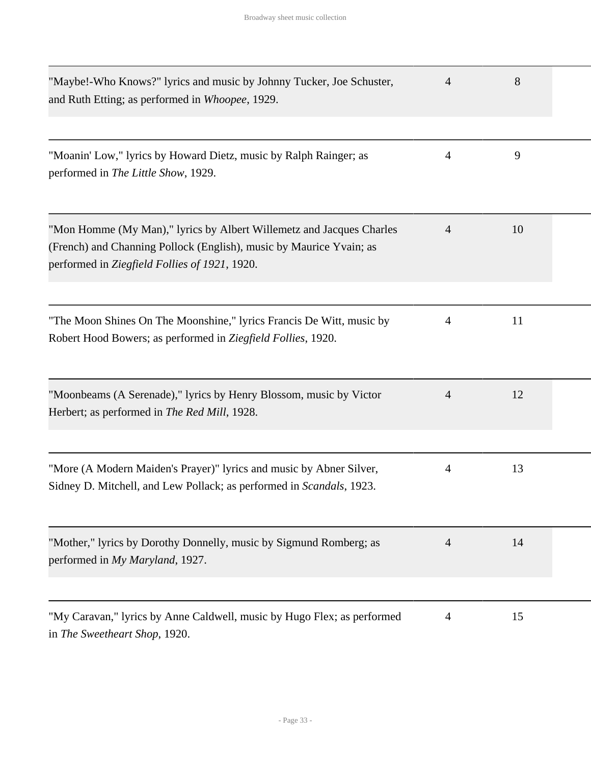| "Maybe!-Who Knows?" lyrics and music by Johnny Tucker, Joe Schuster,<br>and Ruth Etting; as performed in Whoopee, 1929.                                                                      | 4              | 8  |  |
|----------------------------------------------------------------------------------------------------------------------------------------------------------------------------------------------|----------------|----|--|
| "Moanin' Low," lyrics by Howard Dietz, music by Ralph Rainger; as<br>performed in The Little Show, 1929.                                                                                     | $\overline{4}$ | 9  |  |
| "Mon Homme (My Man)," lyrics by Albert Willemetz and Jacques Charles<br>(French) and Channing Pollock (English), music by Maurice Yvain; as<br>performed in Ziegfield Follies of 1921, 1920. | 4              | 10 |  |
| "The Moon Shines On The Moonshine," lyrics Francis De Witt, music by<br>Robert Hood Bowers; as performed in Ziegfield Follies, 1920.                                                         | $\overline{4}$ | 11 |  |
| "Moonbeams (A Serenade)," lyrics by Henry Blossom, music by Victor<br>Herbert; as performed in The Red Mill, 1928.                                                                           | 4              | 12 |  |
| "More (A Modern Maiden's Prayer)" lyrics and music by Abner Silver,<br>Sidney D. Mitchell, and Lew Pollack; as performed in Scandals, 1923.                                                  | $\overline{4}$ | 13 |  |
| "Mother," lyrics by Dorothy Donnelly, music by Sigmund Romberg; as<br>performed in My Maryland, 1927.                                                                                        | 4              | 14 |  |
| "My Caravan," lyrics by Anne Caldwell, music by Hugo Flex; as performed<br>in The Sweetheart Shop, 1920.                                                                                     | $\overline{4}$ | 15 |  |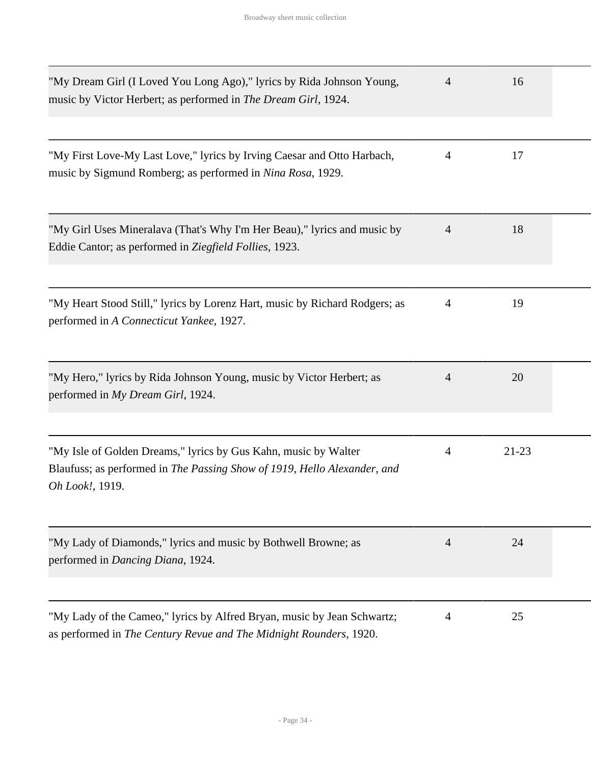| "My Dream Girl (I Loved You Long Ago)," lyrics by Rida Johnson Young,<br>music by Victor Herbert; as performed in The Dream Girl, 1924.                        | 4              | 16        |  |
|----------------------------------------------------------------------------------------------------------------------------------------------------------------|----------------|-----------|--|
| "My First Love-My Last Love," lyrics by Irving Caesar and Otto Harbach,<br>music by Sigmund Romberg; as performed in Nina Rosa, 1929.                          | 4              | 17        |  |
| "My Girl Uses Mineralava (That's Why I'm Her Beau)," lyrics and music by<br>Eddie Cantor; as performed in Ziegfield Follies, 1923.                             | $\overline{4}$ | 18        |  |
| "My Heart Stood Still," lyrics by Lorenz Hart, music by Richard Rodgers; as<br>performed in A Connecticut Yankee, 1927.                                        | $\overline{4}$ | 19        |  |
| "My Hero," lyrics by Rida Johnson Young, music by Victor Herbert; as<br>performed in My Dream Girl, 1924.                                                      | 4              | 20        |  |
| "My Isle of Golden Dreams," lyrics by Gus Kahn, music by Walter<br>Blaufuss; as performed in The Passing Show of 1919, Hello Alexander, and<br>Oh Look!, 1919. | 4              | $21 - 23$ |  |
| "My Lady of Diamonds," lyrics and music by Bothwell Browne; as<br>performed in Dancing Diana, 1924.                                                            | 4              | 24        |  |
| "My Lady of the Cameo," lyrics by Alfred Bryan, music by Jean Schwartz;<br>as performed in The Century Revue and The Midnight Rounders, 1920.                  | 4              | 25        |  |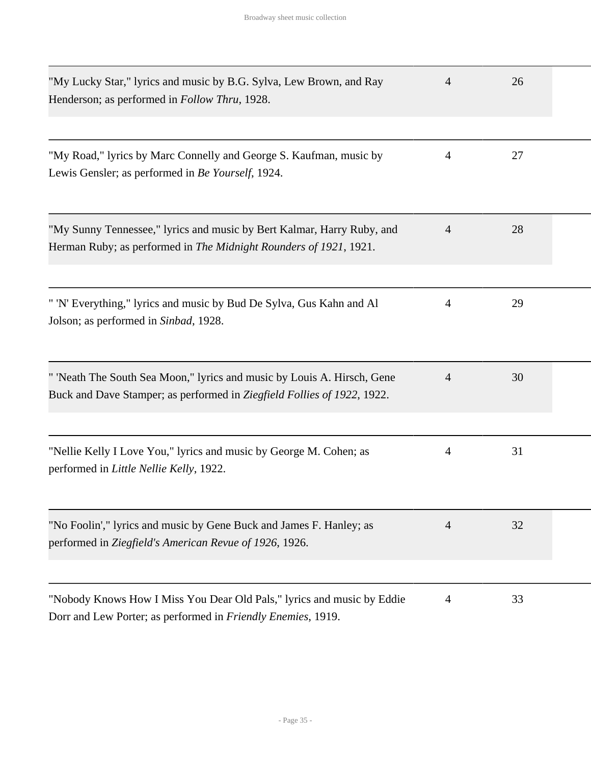| "My Lucky Star," lyrics and music by B.G. Sylva, Lew Brown, and Ray<br>Henderson; as performed in <i>Follow Thru</i> , 1928.                       | 4              | 26 |  |
|----------------------------------------------------------------------------------------------------------------------------------------------------|----------------|----|--|
| "My Road," lyrics by Marc Connelly and George S. Kaufman, music by<br>Lewis Gensler; as performed in Be Yourself, 1924.                            | $\overline{4}$ | 27 |  |
| "My Sunny Tennessee," lyrics and music by Bert Kalmar, Harry Ruby, and<br>Herman Ruby; as performed in The Midnight Rounders of 1921, 1921.        | $\overline{4}$ | 28 |  |
| " 'N' Everything," lyrics and music by Bud De Sylva, Gus Kahn and Al<br>Jolson; as performed in Sinbad, 1928.                                      | 4              | 29 |  |
| " 'Neath The South Sea Moon," lyrics and music by Louis A. Hirsch, Gene<br>Buck and Dave Stamper; as performed in Ziegfield Follies of 1922, 1922. | 4              | 30 |  |
| "Nellie Kelly I Love You," lyrics and music by George M. Cohen; as<br>performed in Little Nellie Kelly, 1922.                                      | 4              | 31 |  |
| "No Foolin'," lyrics and music by Gene Buck and James F. Hanley; as<br>performed in Ziegfield's American Revue of 1926, 1926.                      | $\overline{4}$ | 32 |  |
| "Nobody Knows How I Miss You Dear Old Pals," lyrics and music by Eddie<br>Dorr and Lew Porter; as performed in Friendly Enemies, 1919.             | 4              | 33 |  |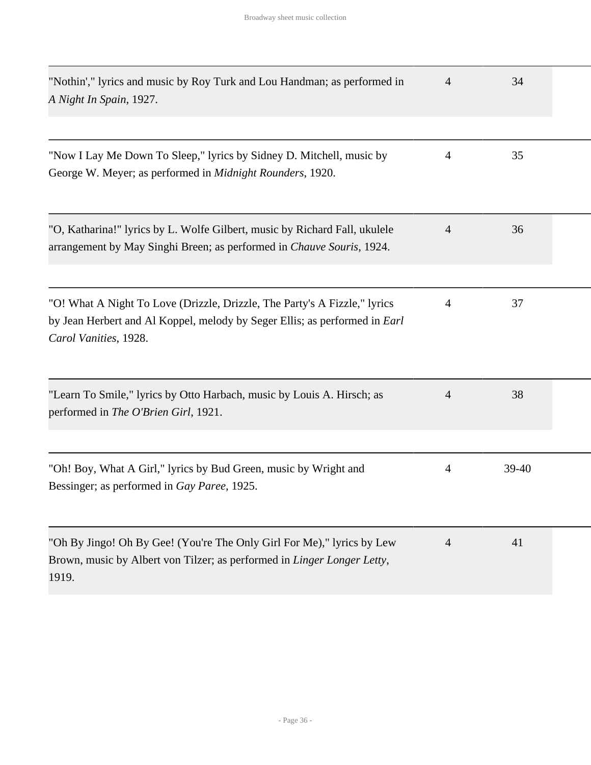| "Nothin'," lyrics and music by Roy Turk and Lou Handman; as performed in<br>A Night In Spain, 1927.                                                                                     | 4              | 34      |  |
|-----------------------------------------------------------------------------------------------------------------------------------------------------------------------------------------|----------------|---------|--|
| "Now I Lay Me Down To Sleep," lyrics by Sidney D. Mitchell, music by<br>George W. Meyer; as performed in Midnight Rounders, 1920.                                                       | $\overline{4}$ | 35      |  |
| "O, Katharina!" lyrics by L. Wolfe Gilbert, music by Richard Fall, ukulele<br>arrangement by May Singhi Breen; as performed in Chauve Souris, 1924.                                     | $\overline{4}$ | 36      |  |
| "O! What A Night To Love (Drizzle, Drizzle, The Party's A Fizzle," lyrics<br>by Jean Herbert and Al Koppel, melody by Seger Ellis; as performed in <i>Earl</i><br>Carol Vanities, 1928. | $\overline{4}$ | 37      |  |
| "Learn To Smile," lyrics by Otto Harbach, music by Louis A. Hirsch; as<br>performed in The O'Brien Girl, 1921.                                                                          | $\overline{4}$ | 38      |  |
| "Oh! Boy, What A Girl," lyrics by Bud Green, music by Wright and<br>Bessinger; as performed in Gay Paree, 1925.                                                                         | 4              | $39-40$ |  |
| "Oh By Jingo! Oh By Gee! (You're The Only Girl For Me)," lyrics by Lew<br>Brown, music by Albert von Tilzer; as performed in Linger Longer Letty,<br>1919.                              | $\overline{4}$ | 41      |  |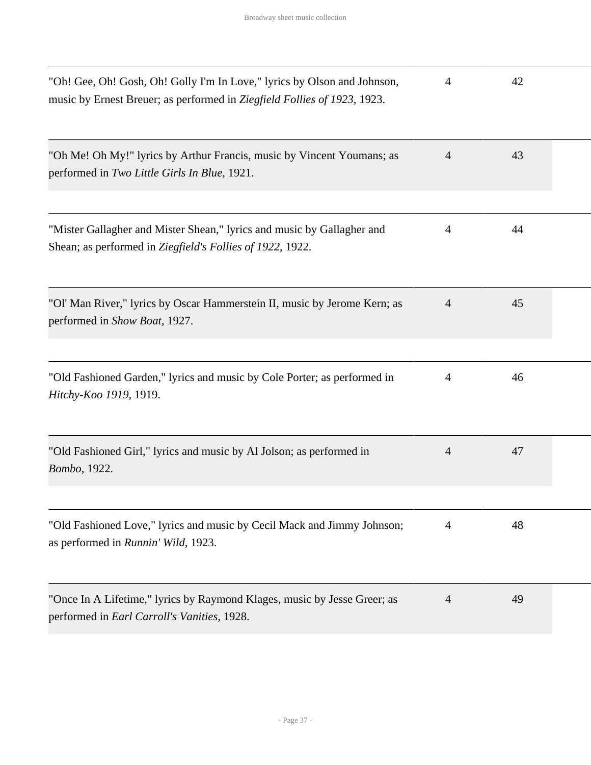| "Oh! Gee, Oh! Gosh, Oh! Golly I'm In Love," lyrics by Olson and Johnson,<br>music by Ernest Breuer; as performed in Ziegfield Follies of 1923, 1923. | 4              | 42 |  |
|------------------------------------------------------------------------------------------------------------------------------------------------------|----------------|----|--|
| "Oh Me! Oh My!" lyrics by Arthur Francis, music by Vincent Youmans; as<br>performed in Two Little Girls In Blue, 1921.                               | $\overline{4}$ | 43 |  |
| "Mister Gallagher and Mister Shean," lyrics and music by Gallagher and<br>Shean; as performed in Ziegfield's Follies of 1922, 1922.                  | 4              | 44 |  |
| "Ol' Man River," lyrics by Oscar Hammerstein II, music by Jerome Kern; as<br>performed in Show Boat, 1927.                                           | $\overline{4}$ | 45 |  |
| "Old Fashioned Garden," lyrics and music by Cole Porter; as performed in<br>Hitchy-Koo 1919, 1919.                                                   | 4              | 46 |  |
| "Old Fashioned Girl," lyrics and music by Al Jolson; as performed in<br>Bombo, 1922.                                                                 | $\overline{4}$ | 47 |  |
| "Old Fashioned Love," lyrics and music by Cecil Mack and Jimmy Johnson;<br>as performed in Runnin' Wild, 1923.                                       | 4              | 48 |  |
| "Once In A Lifetime," lyrics by Raymond Klages, music by Jesse Greer; as<br>performed in Earl Carroll's Vanities, 1928.                              | $\overline{4}$ | 49 |  |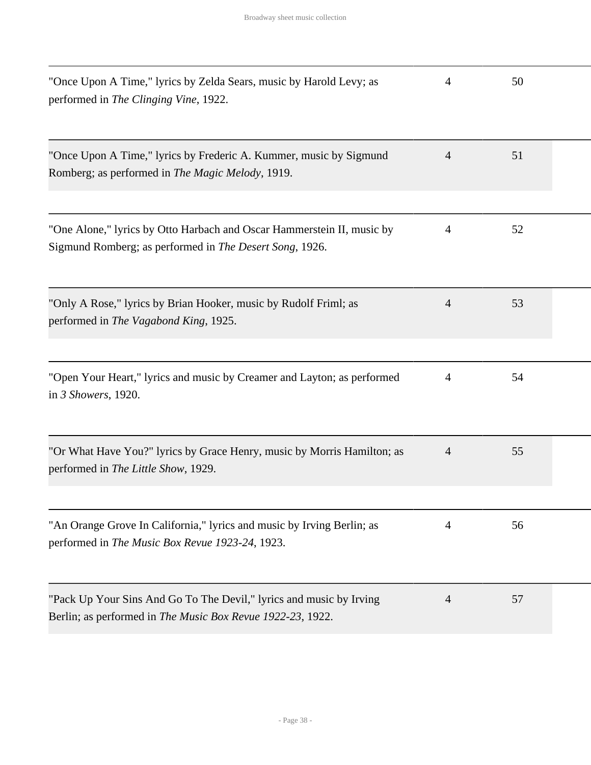| "Once Upon A Time," lyrics by Zelda Sears, music by Harold Levy; as<br>performed in The Clinging Vine, 1922.                      | 4              | 50 |  |
|-----------------------------------------------------------------------------------------------------------------------------------|----------------|----|--|
| "Once Upon A Time," lyrics by Frederic A. Kummer, music by Sigmund<br>Romberg; as performed in The Magic Melody, 1919.            | $\overline{4}$ | 51 |  |
| "One Alone," lyrics by Otto Harbach and Oscar Hammerstein II, music by<br>Sigmund Romberg; as performed in The Desert Song, 1926. | 4              | 52 |  |
| "Only A Rose," lyrics by Brian Hooker, music by Rudolf Friml; as<br>performed in The Vagabond King, 1925.                         | $\overline{4}$ | 53 |  |
| "Open Your Heart," lyrics and music by Creamer and Layton; as performed<br>in 3 Showers, 1920.                                    | 4              | 54 |  |
| "Or What Have You?" lyrics by Grace Henry, music by Morris Hamilton; as<br>performed in The Little Show, 1929.                    | $\overline{4}$ | 55 |  |
| "An Orange Grove In California," lyrics and music by Irving Berlin; as<br>performed in The Music Box Revue 1923-24, 1923.         | 4              | 56 |  |
| "Pack Up Your Sins And Go To The Devil," lyrics and music by Irving<br>Berlin; as performed in The Music Box Revue 1922-23, 1922. | 4              | 57 |  |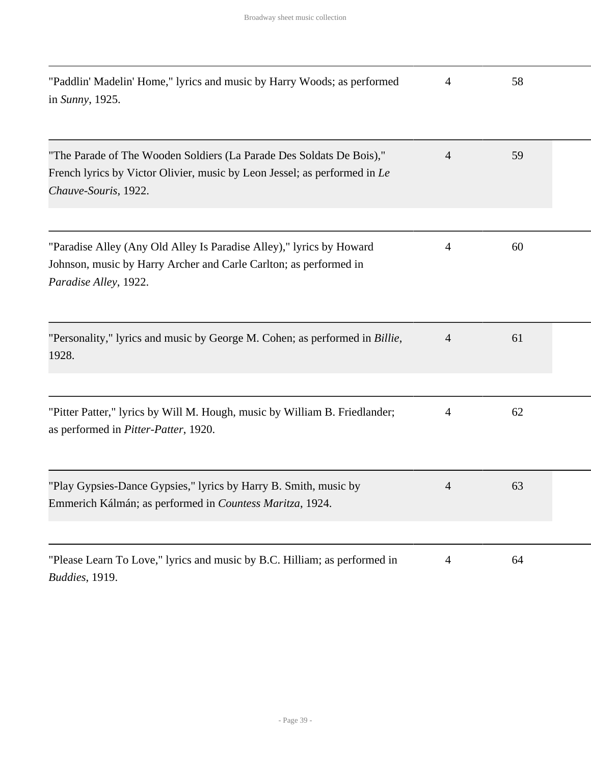| "Paddlin' Madelin' Home," lyrics and music by Harry Woods; as performed<br>in Sunny, 1925.                                                                                | $\overline{4}$ | 58 |  |
|---------------------------------------------------------------------------------------------------------------------------------------------------------------------------|----------------|----|--|
| "The Parade of The Wooden Soldiers (La Parade Des Soldats De Bois),"<br>French lyrics by Victor Olivier, music by Leon Jessel; as performed in Le<br>Chauve-Souris, 1922. | $\overline{4}$ | 59 |  |
| "Paradise Alley (Any Old Alley Is Paradise Alley)," lyrics by Howard<br>Johnson, music by Harry Archer and Carle Carlton; as performed in<br>Paradise Alley, 1922.        | 4              | 60 |  |
| "Personality," lyrics and music by George M. Cohen; as performed in Billie,<br>1928.                                                                                      | 4              | 61 |  |
| "Pitter Patter," lyrics by Will M. Hough, music by William B. Friedlander;<br>as performed in Pitter-Patter, 1920.                                                        | 4              | 62 |  |
| "Play Gypsies-Dance Gypsies," lyrics by Harry B. Smith, music by<br>Emmerich Kálmán; as performed in Countess Maritza, 1924.                                              | 4              | 63 |  |
| "Please Learn To Love," lyrics and music by B.C. Hilliam; as performed in<br>Buddies, 1919.                                                                               | $\overline{4}$ | 64 |  |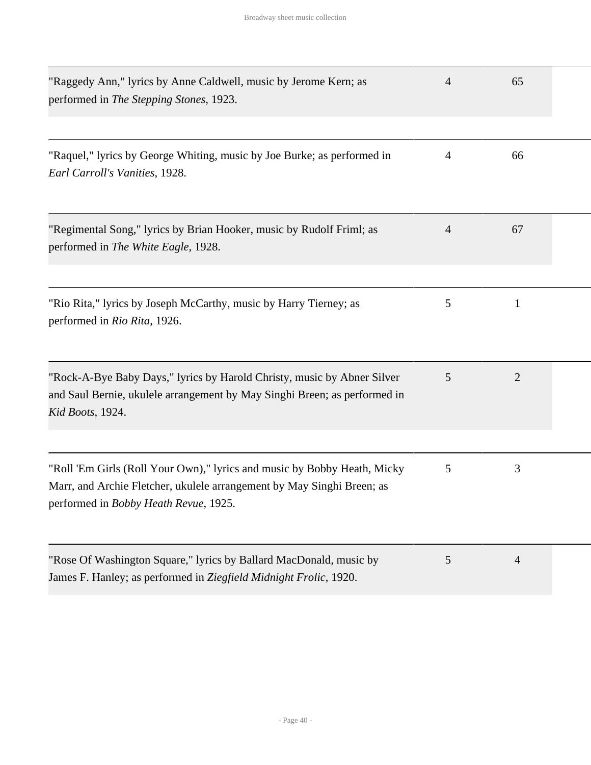| "Raggedy Ann," lyrics by Anne Caldwell, music by Jerome Kern; as<br>performed in The Stepping Stones, 1923.                                                                                 | $\overline{4}$ | 65             |  |
|---------------------------------------------------------------------------------------------------------------------------------------------------------------------------------------------|----------------|----------------|--|
| "Raquel," lyrics by George Whiting, music by Joe Burke; as performed in<br>Earl Carroll's Vanities, 1928.                                                                                   | $\overline{4}$ | 66             |  |
| "Regimental Song," lyrics by Brian Hooker, music by Rudolf Friml; as<br>performed in The White Eagle, 1928.                                                                                 | 4              | 67             |  |
| "Rio Rita," lyrics by Joseph McCarthy, music by Harry Tierney; as<br>performed in Rio Rita, 1926.                                                                                           | 5              | $\mathbf{1}$   |  |
| "Rock-A-Bye Baby Days," lyrics by Harold Christy, music by Abner Silver<br>and Saul Bernie, ukulele arrangement by May Singhi Breen; as performed in<br>Kid Boots, 1924.                    | 5              | $\overline{2}$ |  |
| "Roll 'Em Girls (Roll Your Own)," lyrics and music by Bobby Heath, Micky<br>Marr, and Archie Fletcher, ukulele arrangement by May Singhi Breen; as<br>performed in Bobby Heath Revue, 1925. | 5              | 3              |  |
| "Rose Of Washington Square," lyrics by Ballard MacDonald, music by<br>James F. Hanley; as performed in Ziegfield Midnight Frolic, 1920.                                                     | 5              | $\overline{4}$ |  |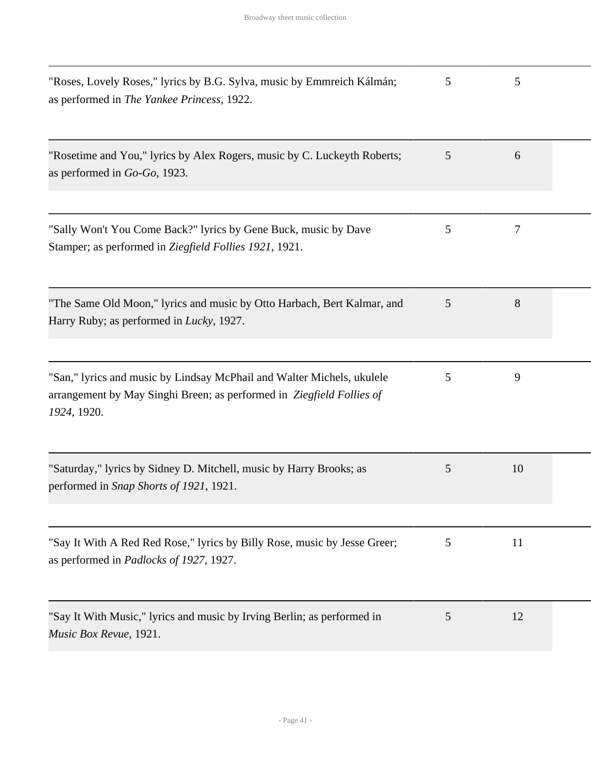| "Roses, Lovely Roses," lyrics by B.G. Sylva, music by Emmreich Kálmán;<br>as performed in The Yankee Princess, 1922.                                           | 5 | 5  |  |
|----------------------------------------------------------------------------------------------------------------------------------------------------------------|---|----|--|
| "Rosetime and You," lyrics by Alex Rogers, music by C. Luckeyth Roberts;<br>as performed in $Go-Go$ , 1923.                                                    | 5 | 6  |  |
| "Sally Won't You Come Back?" lyrics by Gene Buck, music by Dave<br>Stamper; as performed in Ziegfield Follies 1921, 1921.                                      | 5 | 7  |  |
| "The Same Old Moon," lyrics and music by Otto Harbach, Bert Kalmar, and<br>Harry Ruby; as performed in <i>Lucky</i> , 1927.                                    | 5 | 8  |  |
| "San," lyrics and music by Lindsay McPhail and Walter Michels, ukulele<br>arrangement by May Singhi Breen; as performed in Ziegfield Follies of<br>1924, 1920. | 5 | 9  |  |
| "Saturday," lyrics by Sidney D. Mitchell, music by Harry Brooks; as<br>performed in Snap Shorts of 1921, 1921.                                                 | 5 | 10 |  |
| "Say It With A Red Red Rose," lyrics by Billy Rose, music by Jesse Greer;<br>as performed in <i>Padlocks of 1927</i> , 1927.                                   | 5 | 11 |  |
| "Say It With Music," lyrics and music by Irving Berlin; as performed in<br>Music Box Revue, 1921.                                                              | 5 | 12 |  |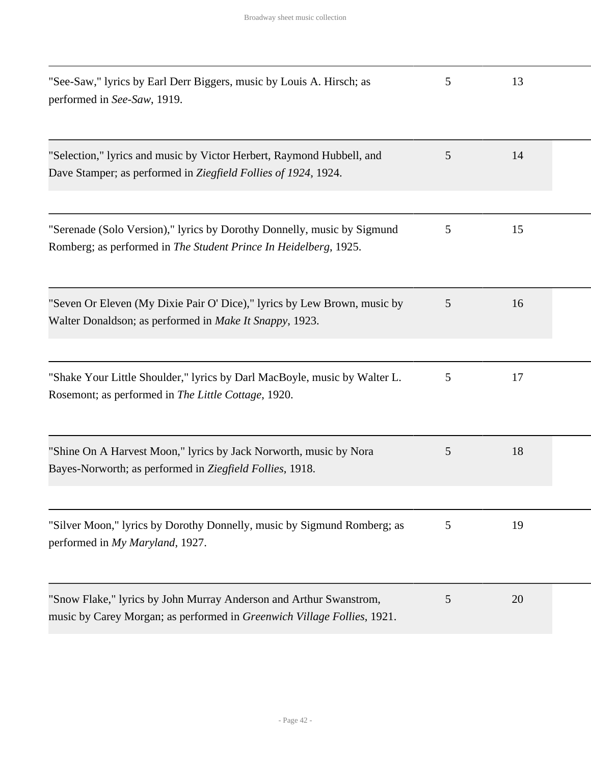| "See-Saw," lyrics by Earl Derr Biggers, music by Louis A. Hirsch; as<br>performed in See-Saw, 1919.                                           | 5 | 13 |  |
|-----------------------------------------------------------------------------------------------------------------------------------------------|---|----|--|
| "Selection," lyrics and music by Victor Herbert, Raymond Hubbell, and<br>Dave Stamper; as performed in Ziegfield Follies of 1924, 1924.       | 5 | 14 |  |
| "Serenade (Solo Version)," lyrics by Dorothy Donnelly, music by Sigmund<br>Romberg; as performed in The Student Prince In Heidelberg, 1925.   | 5 | 15 |  |
| "Seven Or Eleven (My Dixie Pair O' Dice)," lyrics by Lew Brown, music by<br>Walter Donaldson; as performed in Make It Snappy, 1923.           | 5 | 16 |  |
| "Shake Your Little Shoulder," lyrics by Darl MacBoyle, music by Walter L.<br>Rosemont; as performed in The Little Cottage, 1920.              | 5 | 17 |  |
| "Shine On A Harvest Moon," lyrics by Jack Norworth, music by Nora<br>Bayes-Norworth; as performed in Ziegfield Follies, 1918.                 | 5 | 18 |  |
| "Silver Moon," lyrics by Dorothy Donnelly, music by Sigmund Romberg; as<br>performed in My Maryland, 1927.                                    | 5 | 19 |  |
| "Snow Flake," lyrics by John Murray Anderson and Arthur Swanstrom,<br>music by Carey Morgan; as performed in Greenwich Village Follies, 1921. | 5 | 20 |  |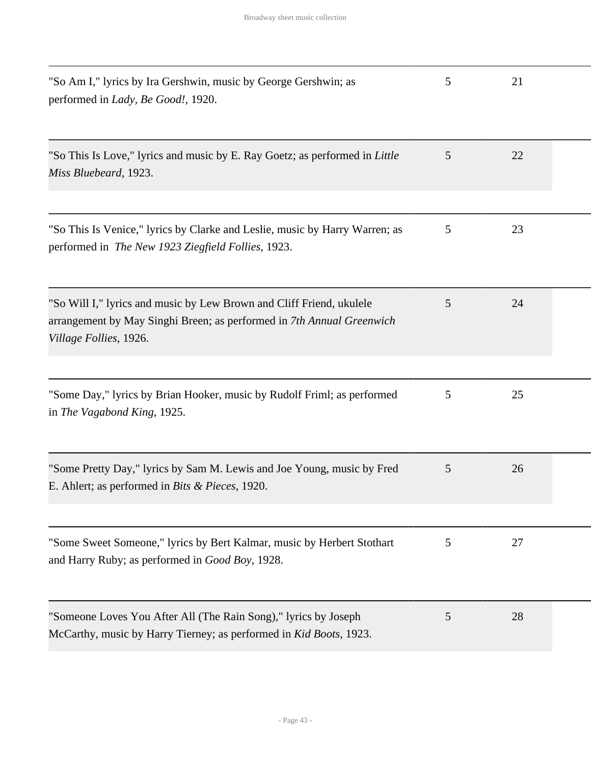| "So Am I," lyrics by Ira Gershwin, music by George Gershwin; as<br>performed in Lady, Be Good!, 1920.                                                                   | 5 | 21 |  |
|-------------------------------------------------------------------------------------------------------------------------------------------------------------------------|---|----|--|
| "So This Is Love," lyrics and music by E. Ray Goetz; as performed in Little<br>Miss Bluebeard, 1923.                                                                    | 5 | 22 |  |
| "So This Is Venice," lyrics by Clarke and Leslie, music by Harry Warren; as<br>performed in The New 1923 Ziegfield Follies, 1923.                                       | 5 | 23 |  |
| "So Will I," lyrics and music by Lew Brown and Cliff Friend, ukulele<br>arrangement by May Singhi Breen; as performed in 7th Annual Greenwich<br>Village Follies, 1926. | 5 | 24 |  |
| "Some Day," lyrics by Brian Hooker, music by Rudolf Friml; as performed<br>in The Vagabond King, 1925.                                                                  | 5 | 25 |  |
| "Some Pretty Day," lyrics by Sam M. Lewis and Joe Young, music by Fred<br>E. Ahlert; as performed in <i>Bits &amp; Pieces</i> , 1920.                                   | 5 | 26 |  |
| "Some Sweet Someone," lyrics by Bert Kalmar, music by Herbert Stothart<br>and Harry Ruby; as performed in <i>Good Boy</i> , 1928.                                       | 5 | 27 |  |
| "Someone Loves You After All (The Rain Song)," lyrics by Joseph<br>McCarthy, music by Harry Tierney; as performed in Kid Boots, 1923.                                   | 5 | 28 |  |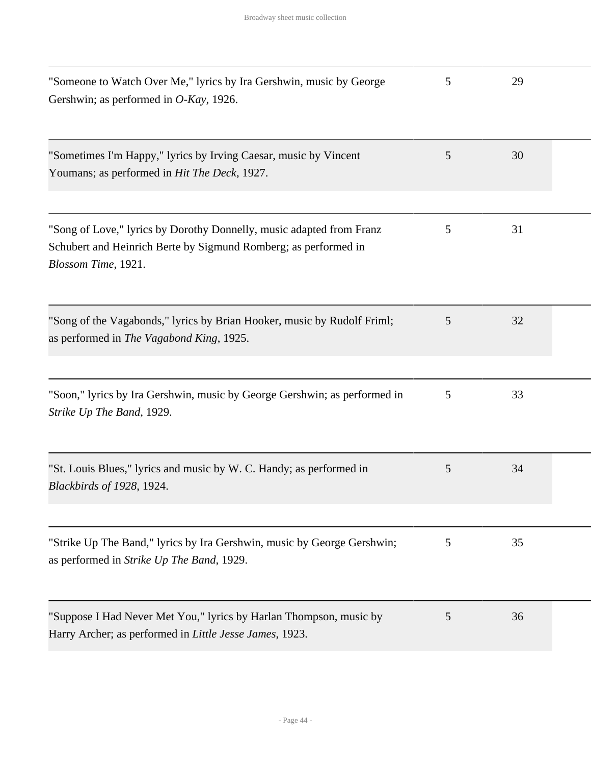| "Someone to Watch Over Me," lyrics by Ira Gershwin, music by George<br>Gershwin; as performed in O-Kay, 1926.                                                  | 5 | 29 |  |
|----------------------------------------------------------------------------------------------------------------------------------------------------------------|---|----|--|
| "Sometimes I'm Happy," lyrics by Irving Caesar, music by Vincent<br>Youmans; as performed in <i>Hit The Deck</i> , 1927.                                       | 5 | 30 |  |
| "Song of Love," lyrics by Dorothy Donnelly, music adapted from Franz<br>Schubert and Heinrich Berte by Sigmund Romberg; as performed in<br>Blossom Time, 1921. | 5 | 31 |  |
| "Song of the Vagabonds," lyrics by Brian Hooker, music by Rudolf Friml;<br>as performed in The Vagabond King, 1925.                                            | 5 | 32 |  |
| "Soon," lyrics by Ira Gershwin, music by George Gershwin; as performed in<br>Strike Up The Band, 1929.                                                         | 5 | 33 |  |
| "St. Louis Blues," lyrics and music by W. C. Handy; as performed in<br>Blackbirds of 1928, 1924.                                                               | 5 | 34 |  |
| "Strike Up The Band," lyrics by Ira Gershwin, music by George Gershwin;<br>as performed in Strike Up The Band, 1929.                                           | 5 | 35 |  |
| "Suppose I Had Never Met You," lyrics by Harlan Thompson, music by<br>Harry Archer; as performed in <i>Little Jesse James</i> , 1923.                          | 5 | 36 |  |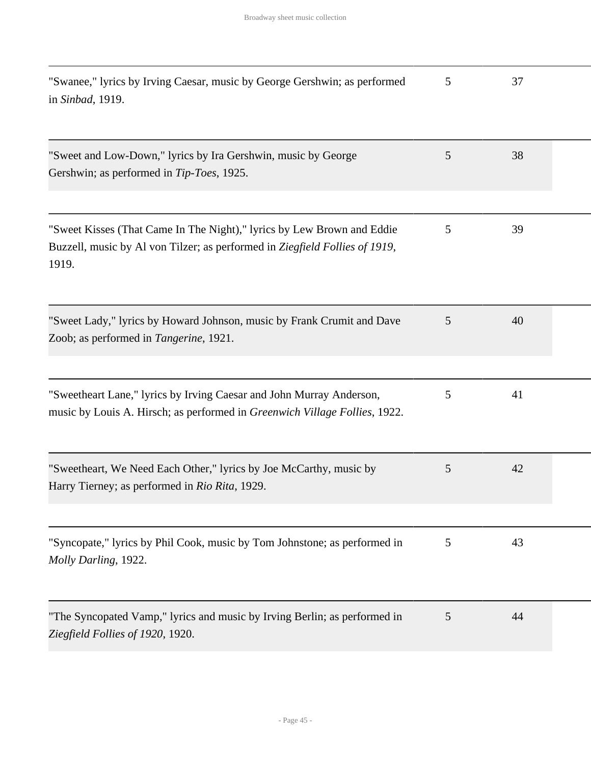| "Swanee," lyrics by Irving Caesar, music by George Gershwin; as performed<br>in Sinbad, 1919.                                                                  | 5 | 37 |  |
|----------------------------------------------------------------------------------------------------------------------------------------------------------------|---|----|--|
| "Sweet and Low-Down," lyrics by Ira Gershwin, music by George<br>Gershwin; as performed in Tip-Toes, 1925.                                                     | 5 | 38 |  |
| "Sweet Kisses (That Came In The Night)," lyrics by Lew Brown and Eddie<br>Buzzell, music by Al von Tilzer; as performed in Ziegfield Follies of 1919,<br>1919. | 5 | 39 |  |
| "Sweet Lady," lyrics by Howard Johnson, music by Frank Crumit and Dave<br>Zoob; as performed in Tangerine, 1921.                                               | 5 | 40 |  |
| "Sweetheart Lane," lyrics by Irving Caesar and John Murray Anderson,<br>music by Louis A. Hirsch; as performed in Greenwich Village Follies, 1922.             | 5 | 41 |  |
| "Sweetheart, We Need Each Other," lyrics by Joe McCarthy, music by<br>Harry Tierney; as performed in Rio Rita, 1929.                                           | 5 | 42 |  |
| "Syncopate," lyrics by Phil Cook, music by Tom Johnstone; as performed in<br>Molly Darling, 1922.                                                              | 5 | 43 |  |
| "The Syncopated Vamp," lyrics and music by Irving Berlin; as performed in<br>Ziegfield Follies of 1920, 1920.                                                  | 5 | 44 |  |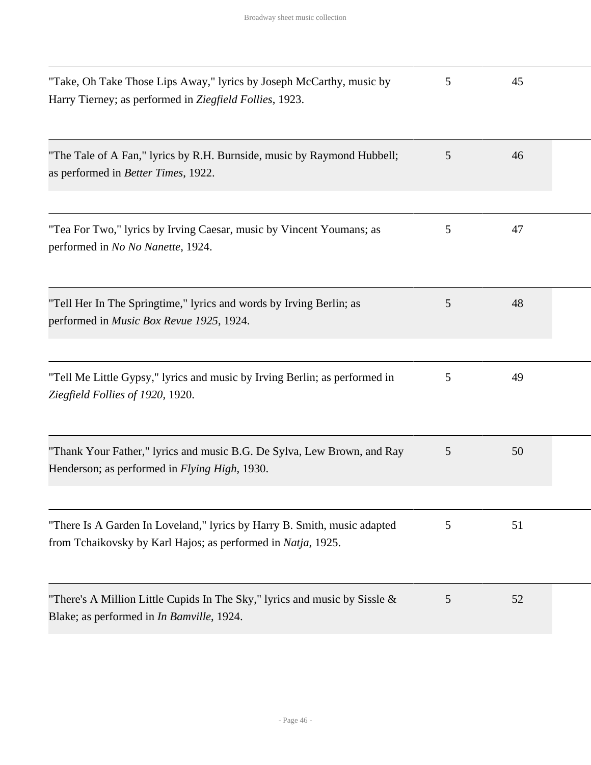| "Take, Oh Take Those Lips Away," lyrics by Joseph McCarthy, music by<br>Harry Tierney; as performed in Ziegfield Follies, 1923.          | 5 | 45 |  |
|------------------------------------------------------------------------------------------------------------------------------------------|---|----|--|
| "The Tale of A Fan," lyrics by R.H. Burnside, music by Raymond Hubbell;<br>as performed in <i>Better Times</i> , 1922.                   | 5 | 46 |  |
| "Tea For Two," lyrics by Irving Caesar, music by Vincent Youmans; as<br>performed in No No Nanette, 1924.                                | 5 | 47 |  |
| "Tell Her In The Springtime," lyrics and words by Irving Berlin; as<br>performed in Music Box Revue 1925, 1924.                          | 5 | 48 |  |
| "Tell Me Little Gypsy," lyrics and music by Irving Berlin; as performed in<br>Ziegfield Follies of 1920, 1920.                           | 5 | 49 |  |
| "Thank Your Father," lyrics and music B.G. De Sylva, Lew Brown, and Ray<br>Henderson; as performed in <i>Flying High</i> , 1930.         | 5 | 50 |  |
| "There Is A Garden In Loveland," lyrics by Harry B. Smith, music adapted<br>from Tchaikovsky by Karl Hajos; as performed in Natja, 1925. | 5 | 51 |  |
| "There's A Million Little Cupids In The Sky," lyrics and music by Sissle $\&$<br>Blake; as performed in In Bamville, 1924.               | 5 | 52 |  |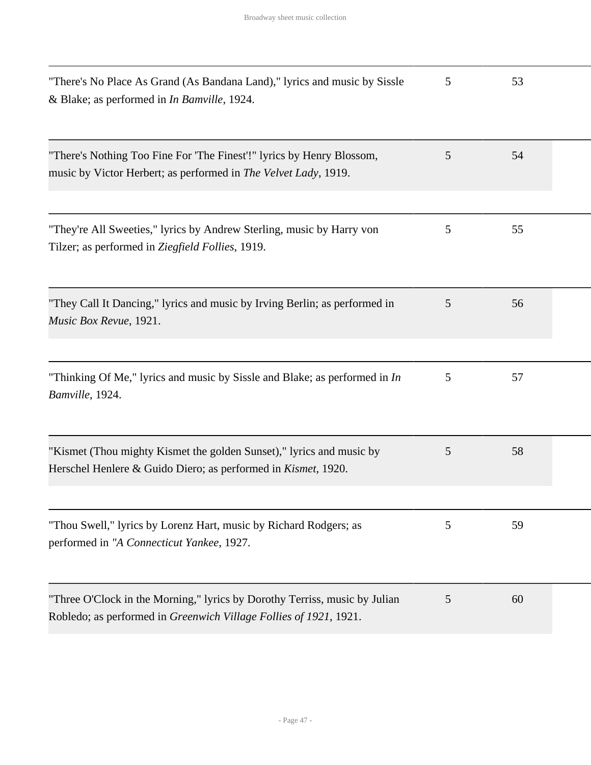| "There's No Place As Grand (As Bandana Land)," lyrics and music by Sissle<br>& Blake; as performed in In Bamville, 1924.                        | 5 | 53 |  |
|-------------------------------------------------------------------------------------------------------------------------------------------------|---|----|--|
| "There's Nothing Too Fine For 'The Finest'!" lyrics by Henry Blossom,<br>music by Victor Herbert; as performed in The Velvet Lady, 1919.        | 5 | 54 |  |
| "They're All Sweeties," lyrics by Andrew Sterling, music by Harry von<br>Tilzer; as performed in Ziegfield Follies, 1919.                       | 5 | 55 |  |
| "They Call It Dancing," lyrics and music by Irving Berlin; as performed in<br>Music Box Revue, 1921.                                            | 5 | 56 |  |
| "Thinking Of Me," lyrics and music by Sissle and Blake; as performed in $In$<br>Bamville, 1924.                                                 | 5 | 57 |  |
| "Kismet (Thou mighty Kismet the golden Sunset)," lyrics and music by<br>Herschel Henlere & Guido Diero; as performed in <i>Kismet</i> , 1920.   | 5 | 58 |  |
| "Thou Swell," lyrics by Lorenz Hart, music by Richard Rodgers; as<br>performed in "A Connecticut Yankee, 1927.                                  | 5 | 59 |  |
| "Three O'Clock in the Morning," lyrics by Dorothy Terriss, music by Julian<br>Robledo; as performed in Greenwich Village Follies of 1921, 1921. | 5 | 60 |  |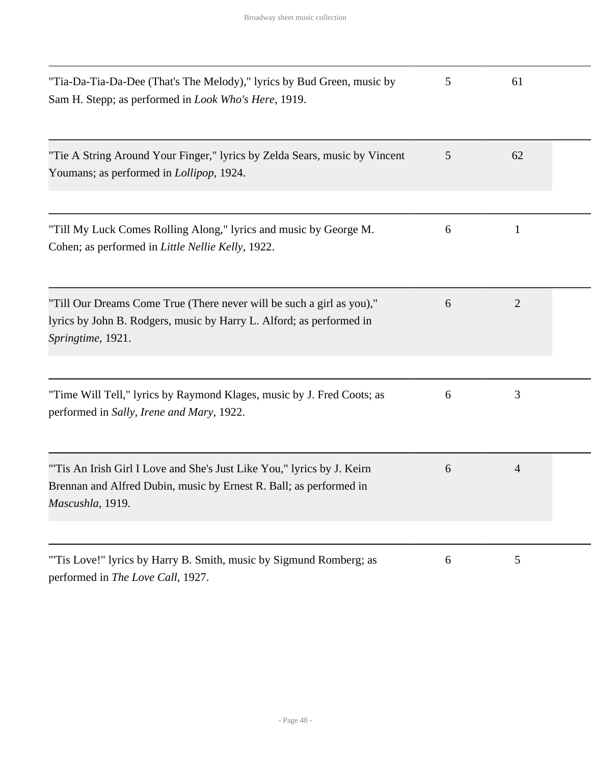| "Tia-Da-Tia-Da-Dee (That's The Melody)," lyrics by Bud Green, music by<br>Sam H. Stepp; as performed in <i>Look Who's Here</i> , 1919.                             | 5 | 61             |  |
|--------------------------------------------------------------------------------------------------------------------------------------------------------------------|---|----------------|--|
| "Tie A String Around Your Finger," lyrics by Zelda Sears, music by Vincent<br>Youmans; as performed in <i>Lollipop</i> , 1924.                                     | 5 | 62             |  |
| "Till My Luck Comes Rolling Along," lyrics and music by George M.<br>Cohen; as performed in Little Nellie Kelly, 1922.                                             | 6 | 1              |  |
| "Till Our Dreams Come True (There never will be such a girl as you),"<br>lyrics by John B. Rodgers, music by Harry L. Alford; as performed in<br>Springtime, 1921. | 6 | $\overline{2}$ |  |
| "Time Will Tell," lyrics by Raymond Klages, music by J. Fred Coots; as<br>performed in Sally, Irene and Mary, 1922.                                                | 6 | 3              |  |
| "Tis An Irish Girl I Love and She's Just Like You," lyrics by J. Keirn<br>Brennan and Alfred Dubin, music by Ernest R. Ball; as performed in<br>Mascushla, 1919.   | 6 | $\overline{4}$ |  |
| "Tis Love!" lyrics by Harry B. Smith, music by Sigmund Romberg; as<br>performed in The Love Call, 1927.                                                            | 6 | 5              |  |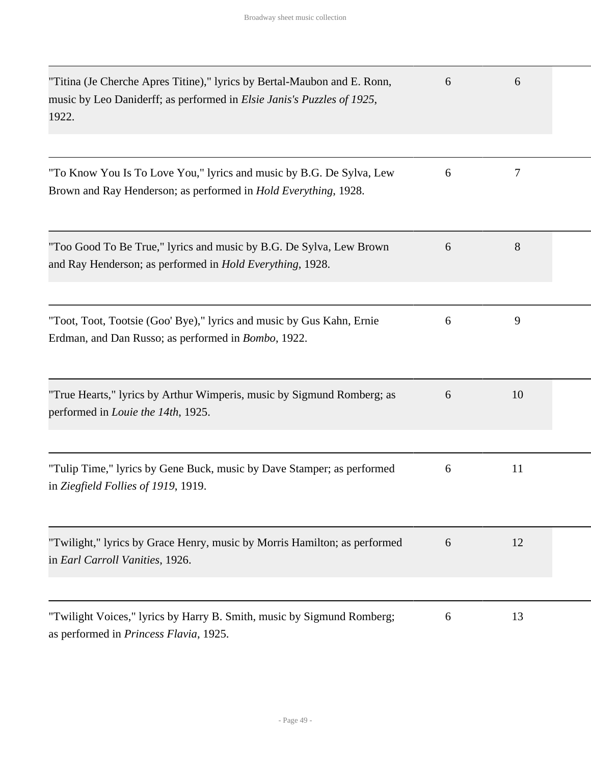| "Titina (Je Cherche Apres Titine)," lyrics by Bertal-Maubon and E. Ronn,<br>music by Leo Daniderff; as performed in <i>Elsie Janis's Puzzles of 1925</i> ,<br>1922. | 6 | 6  |  |
|---------------------------------------------------------------------------------------------------------------------------------------------------------------------|---|----|--|
|                                                                                                                                                                     |   |    |  |
| "To Know You Is To Love You," lyrics and music by B.G. De Sylva, Lew<br>Brown and Ray Henderson; as performed in <i>Hold Everything</i> , 1928.                     | 6 | 7  |  |
| "Too Good To Be True," lyrics and music by B.G. De Sylva, Lew Brown<br>and Ray Henderson; as performed in Hold Everything, 1928.                                    | 6 | 8  |  |
| "Toot, Toot, Tootsie (Goo' Bye)," lyrics and music by Gus Kahn, Ernie<br>Erdman, and Dan Russo; as performed in <i>Bombo</i> , 1922.                                | 6 | 9  |  |
| "True Hearts," lyrics by Arthur Wimperis, music by Sigmund Romberg; as<br>performed in <i>Louie the 14th</i> , 1925.                                                | 6 | 10 |  |
| "Tulip Time," lyrics by Gene Buck, music by Dave Stamper; as performed<br>in Ziegfield Follies of 1919, 1919.                                                       | 6 | 11 |  |
| "Twilight," lyrics by Grace Henry, music by Morris Hamilton; as performed<br>in Earl Carroll Vanities, 1926.                                                        | 6 | 12 |  |
| "Twilight Voices," lyrics by Harry B. Smith, music by Sigmund Romberg;<br>as performed in <i>Princess Flavia</i> , 1925.                                            | 6 | 13 |  |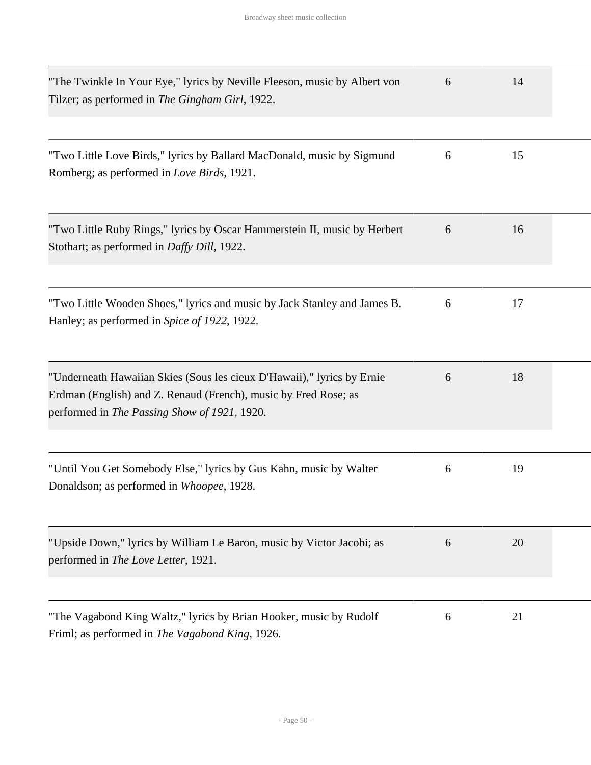| "The Twinkle In Your Eye," lyrics by Neville Fleeson, music by Albert von<br>Tilzer; as performed in The Gingham Girl, 1922.                                                              | 6 | 14 |  |
|-------------------------------------------------------------------------------------------------------------------------------------------------------------------------------------------|---|----|--|
| "Two Little Love Birds," lyrics by Ballard MacDonald, music by Sigmund<br>Romberg; as performed in Love Birds, 1921.                                                                      | 6 | 15 |  |
| "Two Little Ruby Rings," lyrics by Oscar Hammerstein II, music by Herbert<br>Stothart; as performed in <i>Daffy Dill</i> , 1922.                                                          | 6 | 16 |  |
| "Two Little Wooden Shoes," lyrics and music by Jack Stanley and James B.<br>Hanley; as performed in Spice of 1922, 1922.                                                                  | 6 | 17 |  |
| "Underneath Hawaiian Skies (Sous les cieux D'Hawaii)," lyrics by Ernie<br>Erdman (English) and Z. Renaud (French), music by Fred Rose; as<br>performed in The Passing Show of 1921, 1920. | 6 | 18 |  |
| "Until You Get Somebody Else," lyrics by Gus Kahn, music by Walter<br>Donaldson; as performed in Whoopee, 1928.                                                                           | 6 | 19 |  |
| "Upside Down," lyrics by William Le Baron, music by Victor Jacobi; as<br>performed in The Love Letter, 1921.                                                                              | 6 | 20 |  |
| "The Vagabond King Waltz," lyrics by Brian Hooker, music by Rudolf<br>Friml; as performed in The Vagabond King, 1926.                                                                     | 6 | 21 |  |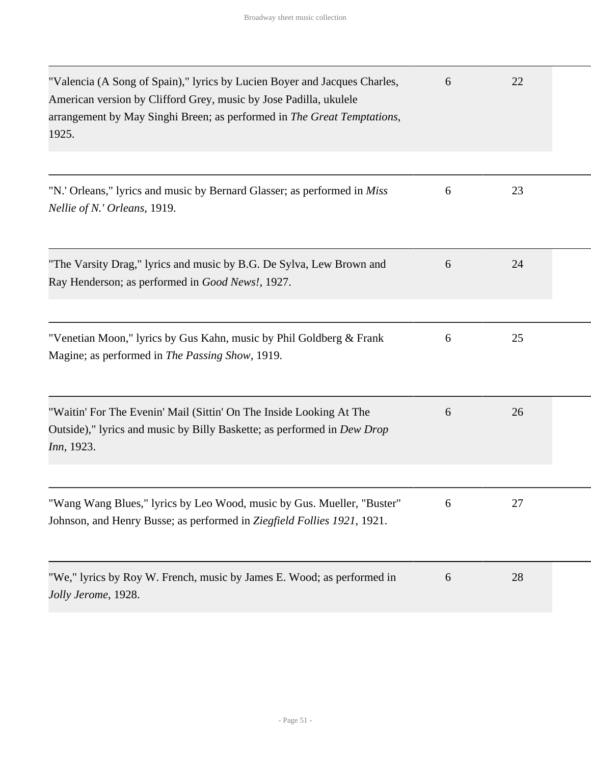| "Valencia (A Song of Spain)," lyrics by Lucien Boyer and Jacques Charles,<br>American version by Clifford Grey, music by Jose Padilla, ukulele<br>arrangement by May Singhi Breen; as performed in The Great Temptations,<br>1925. | 6 | 22 |  |
|------------------------------------------------------------------------------------------------------------------------------------------------------------------------------------------------------------------------------------|---|----|--|
| "N.' Orleans," lyrics and music by Bernard Glasser; as performed in <i>Miss</i><br>Nellie of N.' Orleans, 1919.                                                                                                                    | 6 | 23 |  |
| "The Varsity Drag," lyrics and music by B.G. De Sylva, Lew Brown and<br>Ray Henderson; as performed in Good News!, 1927.                                                                                                           | 6 | 24 |  |
| "Venetian Moon," lyrics by Gus Kahn, music by Phil Goldberg & Frank<br>Magine; as performed in The Passing Show, 1919.                                                                                                             | 6 | 25 |  |
| "Waitin' For The Evenin' Mail (Sittin' On The Inside Looking At The<br>Outside)," lyrics and music by Billy Baskette; as performed in Dew Drop<br><i>Inn</i> , 1923.                                                               | 6 | 26 |  |
| "Wang Wang Blues," lyrics by Leo Wood, music by Gus. Mueller, "Buster"<br>Johnson, and Henry Busse; as performed in Ziegfield Follies 1921, 1921.                                                                                  | 6 | 27 |  |
| "We," lyrics by Roy W. French, music by James E. Wood; as performed in<br>Jolly Jerome, 1928.                                                                                                                                      | 6 | 28 |  |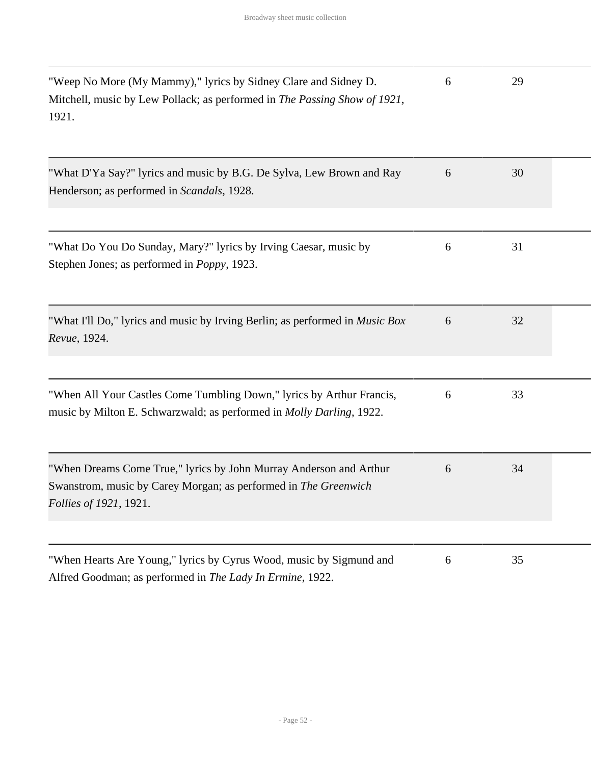| "Weep No More (My Mammy)," lyrics by Sidney Clare and Sidney D.<br>Mitchell, music by Lew Pollack; as performed in The Passing Show of 1921,<br>1921.           | 6 | 29 |  |
|-----------------------------------------------------------------------------------------------------------------------------------------------------------------|---|----|--|
| "What D'Ya Say?" lyrics and music by B.G. De Sylva, Lew Brown and Ray<br>Henderson; as performed in Scandals, 1928.                                             | 6 | 30 |  |
| "What Do You Do Sunday, Mary?" lyrics by Irving Caesar, music by<br>Stephen Jones; as performed in <i>Poppy</i> , 1923.                                         | 6 | 31 |  |
| "What I'll Do," lyrics and music by Irving Berlin; as performed in <i>Music Box</i><br>Revue, 1924.                                                             | 6 | 32 |  |
| "When All Your Castles Come Tumbling Down," lyrics by Arthur Francis,<br>music by Milton E. Schwarzwald; as performed in <i>Molly Darling</i> , 1922.           | 6 | 33 |  |
| "When Dreams Come True," lyrics by John Murray Anderson and Arthur<br>Swanstrom, music by Carey Morgan; as performed in The Greenwich<br>Follies of 1921, 1921. | 6 | 34 |  |
| "When Hearts Are Young," lyrics by Cyrus Wood, music by Sigmund and<br>Alfred Goodman; as performed in The Lady In Ermine, 1922.                                | 6 | 35 |  |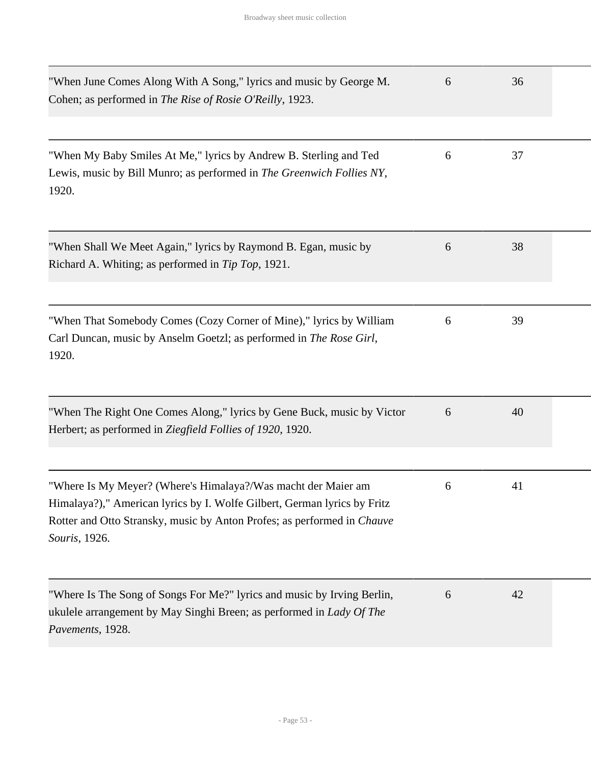| "When June Comes Along With A Song," lyrics and music by George M.<br>Cohen; as performed in The Rise of Rosie O'Reilly, 1923.                                                                                                        | 6 | 36 |  |
|---------------------------------------------------------------------------------------------------------------------------------------------------------------------------------------------------------------------------------------|---|----|--|
| "When My Baby Smiles At Me," lyrics by Andrew B. Sterling and Ted<br>Lewis, music by Bill Munro; as performed in The Greenwich Follies NY,<br>1920.                                                                                   | 6 | 37 |  |
| "When Shall We Meet Again," lyrics by Raymond B. Egan, music by<br>Richard A. Whiting; as performed in Tip Top, 1921.                                                                                                                 | 6 | 38 |  |
| "When That Somebody Comes (Cozy Corner of Mine)," lyrics by William<br>Carl Duncan, music by Anselm Goetzl; as performed in The Rose Girl,<br>1920.                                                                                   | 6 | 39 |  |
| "When The Right One Comes Along," lyrics by Gene Buck, music by Victor<br>Herbert; as performed in Ziegfield Follies of 1920, 1920.                                                                                                   | 6 | 40 |  |
| "Where Is My Meyer? (Where's Himalaya?/Was macht der Maier am<br>Himalaya?)," American lyrics by I. Wolfe Gilbert, German lyrics by Fritz<br>Rotter and Otto Stransky, music by Anton Profes; as performed in Chauve<br>Souris, 1926. | 6 | 41 |  |
| "Where Is The Song of Songs For Me?" lyrics and music by Irving Berlin,<br>ukulele arrangement by May Singhi Breen; as performed in Lady Of The<br>Pavements, 1928.                                                                   | 6 | 42 |  |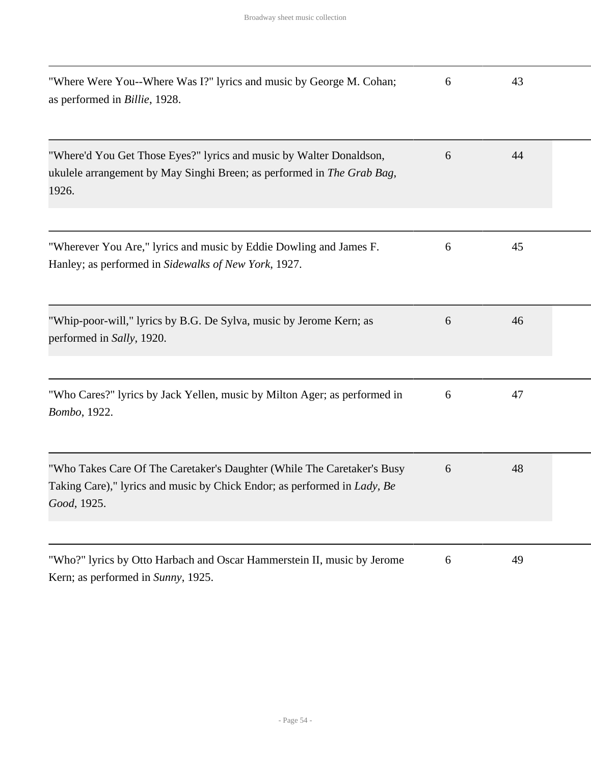| "Where Were You--Where Was I?" lyrics and music by George M. Cohan;<br>as performed in Billie, 1928.                                                               | 6 | 43 |  |
|--------------------------------------------------------------------------------------------------------------------------------------------------------------------|---|----|--|
| "Where'd You Get Those Eyes?" lyrics and music by Walter Donaldson,<br>ukulele arrangement by May Singhi Breen; as performed in The Grab Bag,<br>1926.             | 6 | 44 |  |
| "Wherever You Are," lyrics and music by Eddie Dowling and James F.<br>Hanley; as performed in Sidewalks of New York, 1927.                                         | 6 | 45 |  |
| "Whip-poor-will," lyrics by B.G. De Sylva, music by Jerome Kern; as<br>performed in Sally, 1920.                                                                   | 6 | 46 |  |
| "Who Cares?" lyrics by Jack Yellen, music by Milton Ager; as performed in<br>Bombo, 1922.                                                                          | 6 | 47 |  |
| "Who Takes Care Of The Caretaker's Daughter (While The Caretaker's Busy<br>Taking Care)," lyrics and music by Chick Endor; as performed in Lady, Be<br>Good, 1925. | 6 | 48 |  |
| "Who?" lyrics by Otto Harbach and Oscar Hammerstein II, music by Jerome                                                                                            | 6 | 49 |  |

Kern; as performed in *Sunny*, 1925.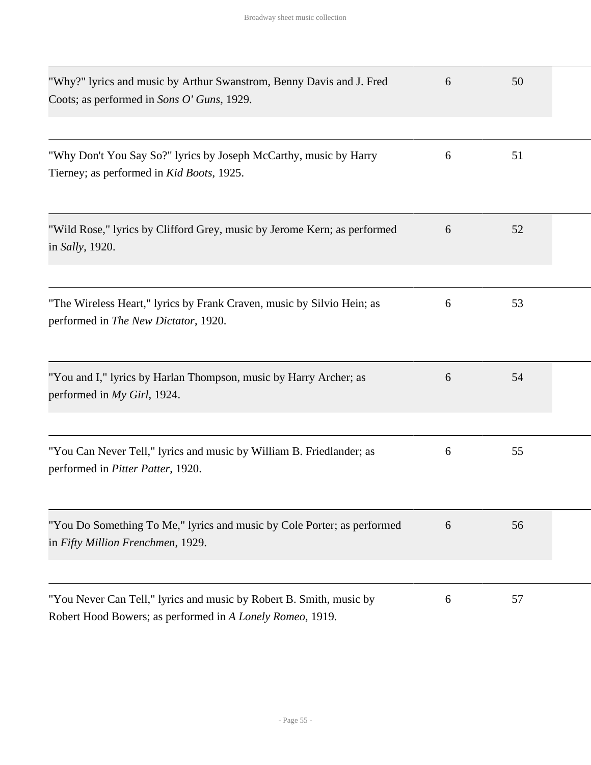| "Why?" lyrics and music by Arthur Swanstrom, Benny Davis and J. Fred<br>Coots; as performed in Sons O' Guns, 1929.               | 6 | 50 |  |
|----------------------------------------------------------------------------------------------------------------------------------|---|----|--|
| "Why Don't You Say So?" lyrics by Joseph McCarthy, music by Harry<br>Tierney; as performed in Kid Boots, 1925.                   | 6 | 51 |  |
| "Wild Rose," lyrics by Clifford Grey, music by Jerome Kern; as performed<br>in Sally, 1920.                                      | 6 | 52 |  |
| "The Wireless Heart," lyrics by Frank Craven, music by Silvio Hein; as<br>performed in The New Dictator, 1920.                   | 6 | 53 |  |
| "You and I," lyrics by Harlan Thompson, music by Harry Archer; as<br>performed in My Girl, 1924.                                 | 6 | 54 |  |
| "You Can Never Tell," lyrics and music by William B. Friedlander; as<br>performed in Pitter Patter, 1920.                        | 6 | 55 |  |
| "You Do Something To Me," lyrics and music by Cole Porter; as performed<br>in Fifty Million Frenchmen, 1929.                     | 6 | 56 |  |
| "You Never Can Tell," lyrics and music by Robert B. Smith, music by<br>Robert Hood Bowers; as performed in A Lonely Romeo, 1919. | 6 | 57 |  |